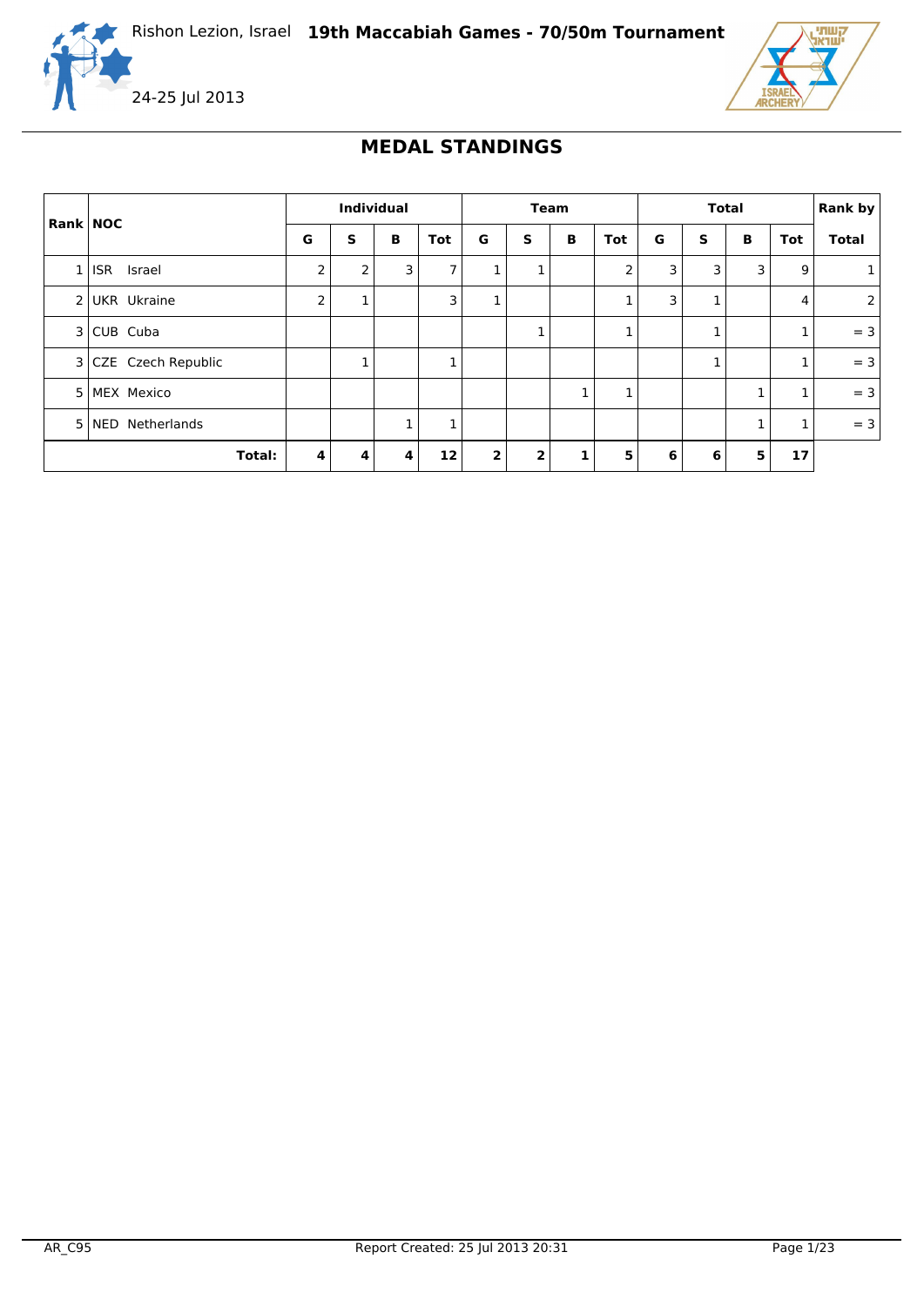



### **MEDAL STANDINGS**

|                |                      | <b>Individual</b> |   |   | Team       |                |                | <b>Total</b> |     |   |   | <b>Rank by</b> |     |                |
|----------------|----------------------|-------------------|---|---|------------|----------------|----------------|--------------|-----|---|---|----------------|-----|----------------|
| Rank NOC       |                      | G                 | S | B | <b>Tot</b> | G              | S              | B            | Tot | G | S | B              | Tot | <b>Total</b>   |
| 1              | <b>ISR</b><br>Israel | 2                 | 2 | 3 | 7          | 1              | ┻              |              | 2   | 3 | 3 | 3              | 9   |                |
|                | 2 UKR Ukraine        | 2                 | 1 |   | 3          | 1              |                |              | 1   | 3 |   |                | 4   | $\overline{2}$ |
|                | 3 CUB Cuba           |                   |   |   |            |                | ┻              |              | 1   |   |   |                | 1   | $= 3$          |
|                | 3 CZE Czech Republic |                   | 1 |   | 1          |                |                |              |     |   |   |                | 1   | $= 3$          |
| 5 <sub>1</sub> | <b>MEX Mexico</b>    |                   |   |   |            |                |                | 1            | 1   |   |   |                | 1   | $= 3$          |
| 5 <sup>1</sup> | NED Netherlands      |                   |   |   | 1          |                |                |              |     |   |   |                | 1   | $= 3$          |
|                | Total:               | 4                 | 4 | 4 | 12         | $\overline{2}$ | $\overline{2}$ | 1            | 5   | 6 | 6 | 5              | 17  |                |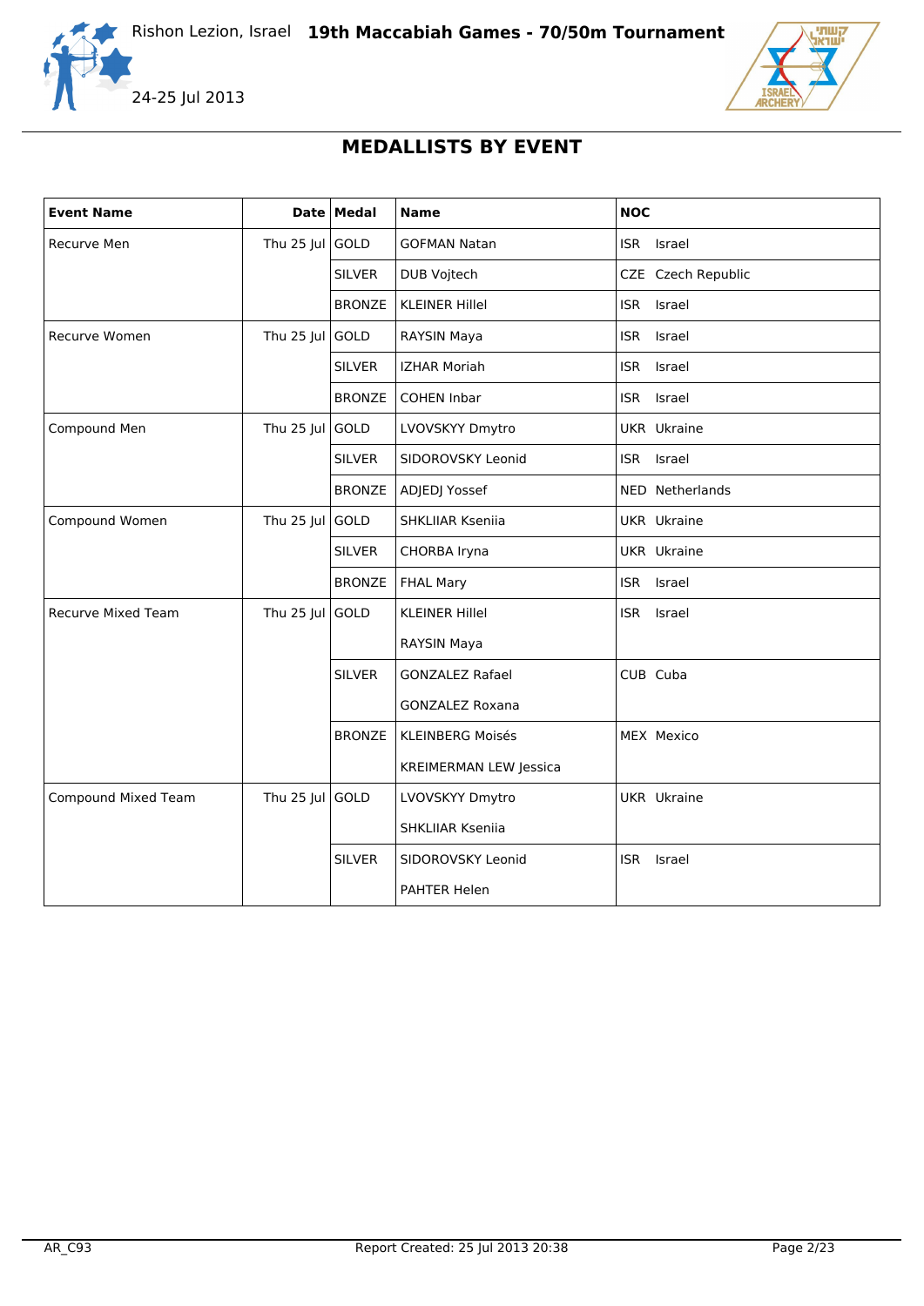





# **MEDALLISTS BY EVENT**

| <b>Event Name</b>          |                 | Date Medal    | <b>Name</b>                   | <b>NOC</b>           |
|----------------------------|-----------------|---------------|-------------------------------|----------------------|
| Recurve Men                | Thu $25$ Jul    | GOLD          | <b>GOFMAN Natan</b>           | ISR Israel           |
|                            |                 | <b>SILVER</b> | DUB Vojtech                   | CZE Czech Republic   |
|                            |                 | <b>BRONZE</b> | <b>KLEINER Hillel</b>         | Israel<br>ISR        |
| Recurve Women              | Thu 25 Jul      | GOLD          | RAYSIN Maya                   | ISR.<br>Israel       |
|                            |                 | <b>SILVER</b> | <b>IZHAR Moriah</b>           | <b>ISR</b><br>Israel |
|                            |                 | <b>BRONZE</b> | <b>COHEN Inbar</b>            | ISR Israel           |
| Compound Men               | Thu 25 Jul      | GOLD          | LVOVSKYY Dmytro               | <b>UKR</b> Ukraine   |
|                            |                 | <b>SILVER</b> | SIDOROVSKY Leonid             | Israel<br><b>ISR</b> |
|                            |                 | <b>BRONZE</b> | ADJEDJ Yossef                 | NED Netherlands      |
| Compound Women             | Thu 25 Jul      | GOLD          | <b>SHKLIIAR Kseniia</b>       | <b>UKR</b> Ukraine   |
|                            |                 | <b>SILVER</b> | CHORBA Iryna                  | <b>UKR</b> Ukraine   |
|                            |                 | <b>BRONZE</b> | <b>FHAL Mary</b>              | <b>ISR</b><br>Israel |
| <b>Recurve Mixed Team</b>  | Thu 25 Jul      | GOLD          | <b>KLEINER Hillel</b>         | ISR Israel           |
|                            |                 |               | RAYSIN Maya                   |                      |
|                            |                 | <b>SILVER</b> | <b>GONZALEZ Rafael</b>        | CUB Cuba             |
|                            |                 |               | <b>GONZALEZ Roxana</b>        |                      |
|                            |                 | <b>BRONZE</b> | <b>KLEINBERG Moisés</b>       | MEX Mexico           |
|                            |                 |               | <b>KREIMERMAN LEW Jessica</b> |                      |
| <b>Compound Mixed Team</b> | Thu 25 Jul GOLD |               | LVOVSKYY Dmytro               | <b>UKR</b> Ukraine   |
|                            |                 |               | SHKLIIAR Kseniia              |                      |
|                            |                 | <b>SILVER</b> | SIDOROVSKY Leonid             | <b>ISR</b><br>Israel |
|                            |                 |               | PAHTER Helen                  |                      |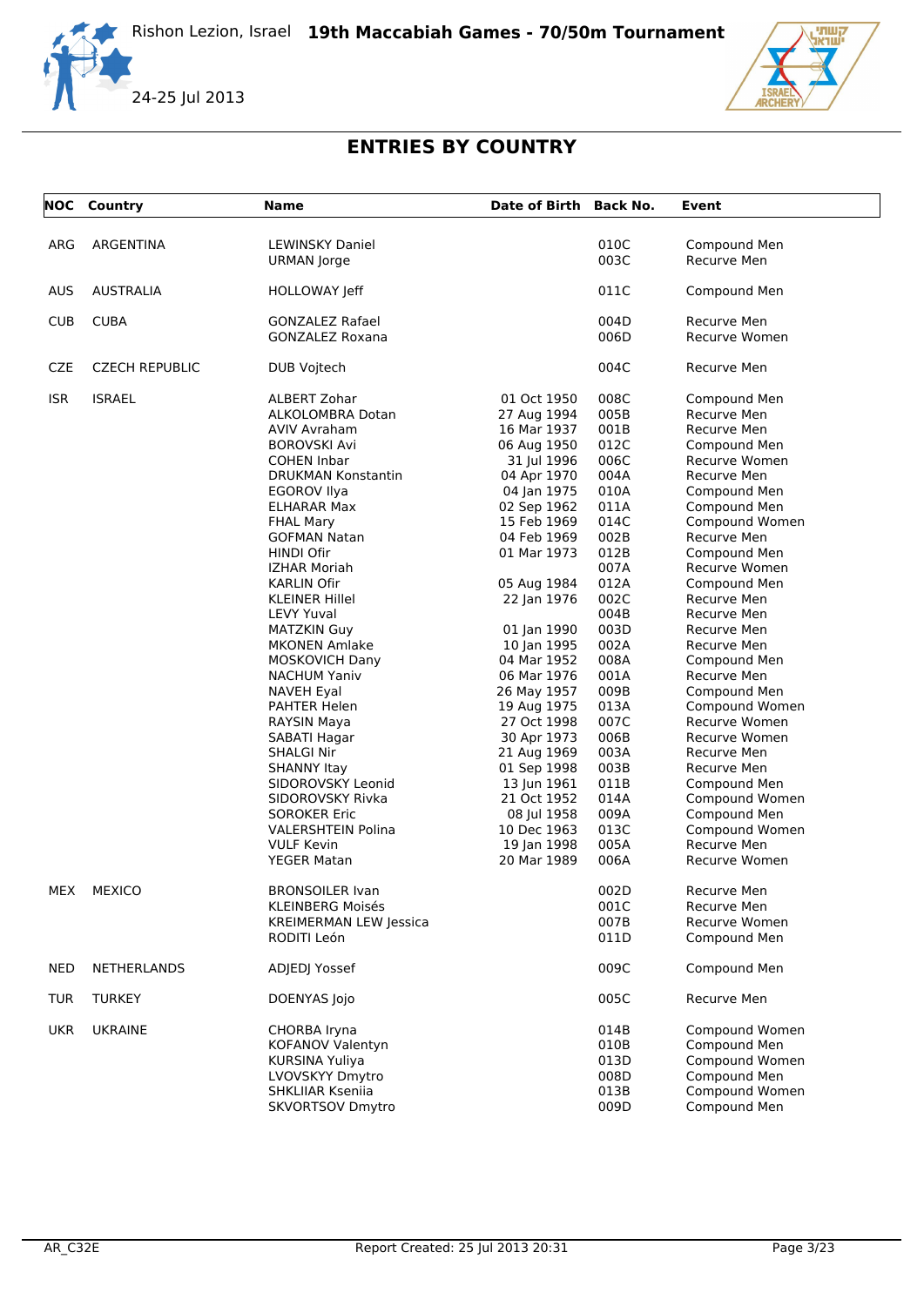



# **ENTRIES BY COUNTRY**

|            | <b>NOC</b> Country    | <b>Name</b>                   | Date of Birth Back No. |      | Event                |
|------------|-----------------------|-------------------------------|------------------------|------|----------------------|
| ARG        | ARGENTINA             | <b>LEWINSKY Daniel</b>        |                        | 010C | Compound Men         |
|            |                       | <b>URMAN</b> Jorge            |                        | 003C | Recurve Men          |
| <b>AUS</b> | <b>AUSTRALIA</b>      | HOLLOWAY Jeff                 |                        | 011C | Compound Men         |
| <b>CUB</b> | <b>CUBA</b>           | GONZALEZ Rafael               |                        | 004D | Recurve Men          |
|            |                       | <b>GONZALEZ Roxana</b>        |                        | 006D | <b>Recurve Women</b> |
| <b>CZE</b> | <b>CZECH REPUBLIC</b> | DUB Vojtech                   |                        | 004C | Recurve Men          |
| <b>ISR</b> | <b>ISRAEL</b>         | ALBERT Zohar                  | 01 Oct 1950            | 008C | Compound Men         |
|            |                       | ALKOLOMBRA Dotan              | 27 Aug 1994            | 005B | Recurve Men          |
|            |                       | AVIV Avraham                  | 16 Mar 1937            | 001B | Recurve Men          |
|            |                       | <b>BOROVSKI Avi</b>           | 06 Aug 1950            | 012C | Compound Men         |
|            |                       | <b>COHEN Inbar</b>            | 31 Jul 1996            | 006C | Recurve Women        |
|            |                       | DRUKMAN Konstantin            | 04 Apr 1970            | 004A | Recurve Men          |
|            |                       | EGOROV Ilya                   | 04 Jan 1975            | 010A | Compound Men         |
|            |                       | <b>ELHARAR Max</b>            | 02 Sep 1962            | 011A | Compound Men         |
|            |                       | <b>FHAL Mary</b>              | 15 Feb 1969            | 014C | Compound Women       |
|            |                       | <b>GOFMAN Natan</b>           | 04 Feb 1969            | 002B | Recurve Men          |
|            |                       | <b>HINDI Ofir</b>             | 01 Mar 1973            | 012B | Compound Men         |
|            |                       | IZHAR Moriah                  |                        | 007A | Recurve Women        |
|            |                       | KARLIN Ofir                   | 05 Aug 1984            | 012A | Compound Men         |
|            |                       | KLEINER Hillel                | 22 Jan 1976            | 002C | Recurve Men          |
|            |                       | <b>LEVY Yuval</b>             |                        | 004B | Recurve Men          |
|            |                       | <b>MATZKIN Guy</b>            | 01 Jan 1990            | 003D | Recurve Men          |
|            |                       | <b>MKONEN Amlake</b>          | 10 Jan 1995            | 002A | Recurve Men          |
|            |                       | <b>MOSKOVICH Dany</b>         | 04 Mar 1952            | 008A | Compound Men         |
|            |                       | <b>NACHUM Yaniv</b>           | 06 Mar 1976            | 001A | Recurve Men          |
|            |                       | NAVEH Eyal                    | 26 May 1957            | 009B | Compound Men         |
|            |                       | PAHTER Helen                  | 19 Aug 1975            | 013A | Compound Women       |
|            |                       | RAYSIN Maya                   | 27 Oct 1998            | 007C | <b>Recurve Women</b> |
|            |                       | SABATI Hagar                  | 30 Apr 1973            | 006B | Recurve Women        |
|            |                       | SHALGI Nir                    | 21 Aug 1969            | 003A | Recurve Men          |
|            |                       | SHANNY Itay                   | 01 Sep 1998            | 003B | Recurve Men          |
|            |                       | SIDOROVSKY Leonid             | 13 Jun 1961            | 011B | Compound Men         |
|            |                       | SIDOROVSKY Rivka              | 21 Oct 1952            | 014A | Compound Women       |
|            |                       | <b>SOROKER Eric</b>           | 08 Jul 1958            | 009A | Compound Men         |
|            |                       | <b>VALERSHTEIN Polina</b>     | 10 Dec 1963            | 013C | Compound Women       |
|            |                       | <b>VULF Kevin</b>             | 19 Jan 1998            | 005A | Recurve Men          |
|            |                       | YEGER Matan                   | 20 Mar 1989            | 006A | Recurve Women        |
|            | MEX MEXICO            | <b>BRONSOILER Ivan</b>        |                        | 002D | Recurve Men          |
|            |                       | <b>KLEINBERG Moisés</b>       |                        | 001C | Recurve Men          |
|            |                       | <b>KREIMERMAN LEW Jessica</b> |                        | 007B | Recurve Women        |
|            |                       | RODITI León                   |                        | 011D | Compound Men         |
| <b>NED</b> | NETHERLANDS           | ADJEDJ Yossef                 |                        | 009C | Compound Men         |
| <b>TUR</b> | <b>TURKEY</b>         | DOENYAS Jojo                  |                        | 005C | Recurve Men          |
| <b>UKR</b> | <b>UKRAINE</b>        | CHORBA Iryna                  |                        | 014B | Compound Women       |
|            |                       | <b>KOFANOV Valentyn</b>       |                        | 010B | Compound Men         |
|            |                       | <b>KURSINA Yuliya</b>         |                        | 013D | Compound Women       |
|            |                       | LVOVSKYY Dmytro               |                        | 008D | Compound Men         |
|            |                       | SHKLIIAR Kseniia              |                        | 013B | Compound Women       |
|            |                       | <b>SKVORTSOV Dmytro</b>       |                        | 009D | Compound Men         |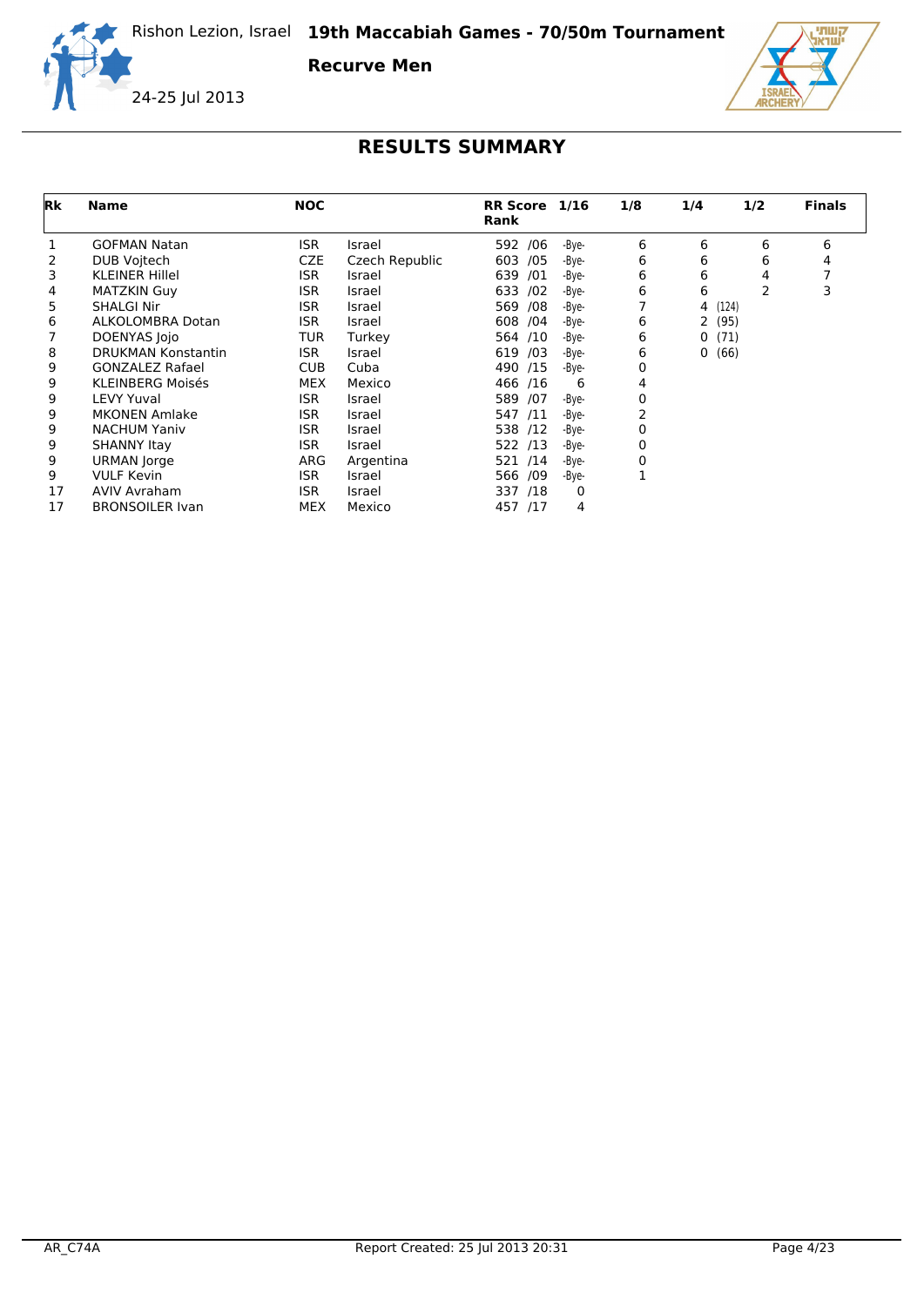**Recurve Men**





| <b>Rk</b> | <b>Name</b>               | <b>NOC</b> |                | <b>RR Score</b><br>Rank | 1/16  | 1/8 | 1/4                  | 1/2   | <b>Finals</b> |
|-----------|---------------------------|------------|----------------|-------------------------|-------|-----|----------------------|-------|---------------|
|           | <b>GOFMAN Natan</b>       | <b>ISR</b> | Israel         | 592 /06                 | -Bye- | 6   | 6                    | 6     | 6             |
| 2         | DUB Voitech               | <b>CZE</b> | Czech Republic | 603 /05                 | -Bye- | 6   | 6                    | 6     | 4             |
| 3         | <b>KLEINER Hillel</b>     | ISR.       | Israel         | 639 /01                 | -Bye- | 6   | 6                    | 4     |               |
| 4         | <b>MATZKIN Guy</b>        | ISR.       | Israel         | /02<br>633              | -Bye- | 6   | 6                    | 2     | 3             |
| 5         | <b>SHALGI Nir</b>         | <b>ISR</b> | Israel         | 569 /08                 | -Bye- |     | 4                    | (124) |               |
| 6         | ALKOLOMBRA Dotan          | <b>ISR</b> | Israel         | 608 /04                 | -Bye- | 6   | $\mathbf{2}$<br>(95) |       |               |
|           | DOENYAS Jojo              | <b>TUR</b> | Turkey         | 564 /10                 | -Bye- | 6   | 0                    | (71)  |               |
| 8         | <b>DRUKMAN Konstantin</b> | <b>ISR</b> | Israel         | 619 /03                 | -Bye- | 6   | 0                    | (66)  |               |
| 9         | <b>GONZALEZ Rafael</b>    | <b>CUB</b> | Cuba           | 490 /15                 | -Bye- | 0   |                      |       |               |
| 9         | <b>KLEINBERG Moisés</b>   | <b>MEX</b> | Mexico         | 466 /16                 | 6     | 4   |                      |       |               |
| 9         | <b>LEVY Yuval</b>         | <b>ISR</b> | Israel         | 589 /07                 | -Bye- | 0   |                      |       |               |
| 9         | <b>MKONEN Amlake</b>      | <b>ISR</b> | Israel         | 547 /11                 | -Bye- | 2   |                      |       |               |
| 9         | <b>NACHUM Yaniv</b>       | <b>ISR</b> | Israel         | 538 /12                 | -Bye- | 0   |                      |       |               |
| 9         | <b>SHANNY Itay</b>        | <b>ISR</b> | Israel         | 522 /13                 | -Bye- | 0   |                      |       |               |
| 9         | URMAN Jorge               | ARG        | Argentina      | 521 /14                 | -Bye- | 0   |                      |       |               |
| 9         | <b>VULF Kevin</b>         | <b>ISR</b> | Israel         | 566 /09                 | -Bye- |     |                      |       |               |
| 17        | <b>AVIV Avraham</b>       | <b>ISR</b> | Israel         | 337 /18                 | 0     |     |                      |       |               |
| 17        | <b>BRONSOILER Ivan</b>    | <b>MEX</b> | Mexico         | 457 /17                 | 4     |     |                      |       |               |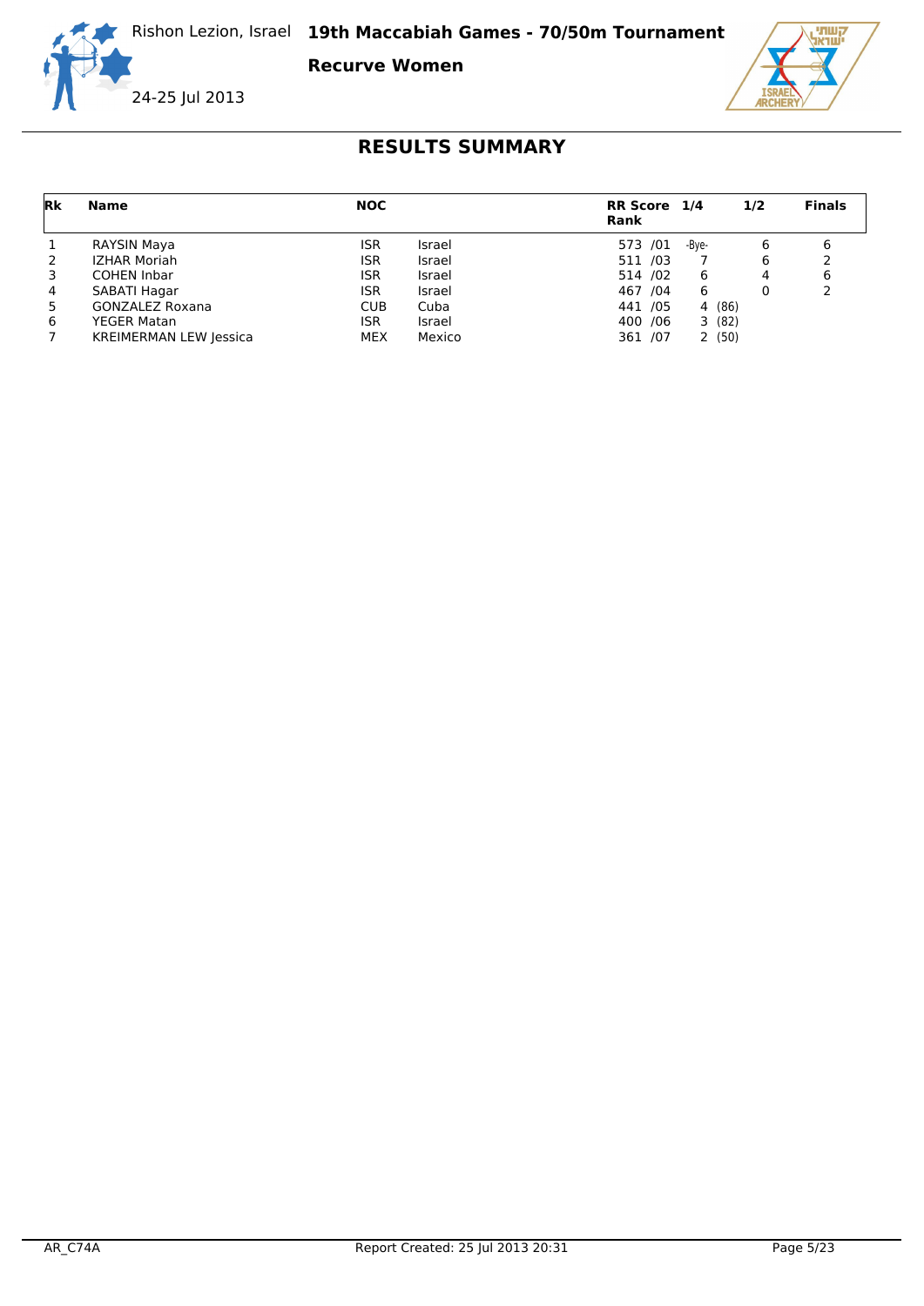**Recurve Women**





| Rk | <b>Name</b>                   | <b>NOC</b> |        | RR Score 1/4<br>Rank |       | 1/2    | <b>Finals</b> |
|----|-------------------------------|------------|--------|----------------------|-------|--------|---------------|
|    | RAYSIN Maya                   | ISR        | Israel | 573 /01              | -Bye- | 6      | 6             |
| 2  | <b>IZHAR Moriah</b>           | ISR        | Israel | 511 /03              |       | 6      |               |
|    | <b>COHEN Inbar</b>            | ISR        | Israel | 514 /02              | 6     | 4      | 6             |
| 4  | SABATI Hagar                  | ISR.       | Israel | 467 / 04             | 6     | 0      |               |
| 5  | <b>GONZALEZ Roxana</b>        | <b>CUB</b> | Cuba   | 441 /05              |       | 4 (86) |               |
| 6  | <b>YEGER Matan</b>            | ISR        | Israel | 400 / 06             |       | 3(82)  |               |
|    | <b>KREIMERMAN LEW Jessica</b> | <b>MEX</b> | Mexico | 361 /07              |       | 2(50)  |               |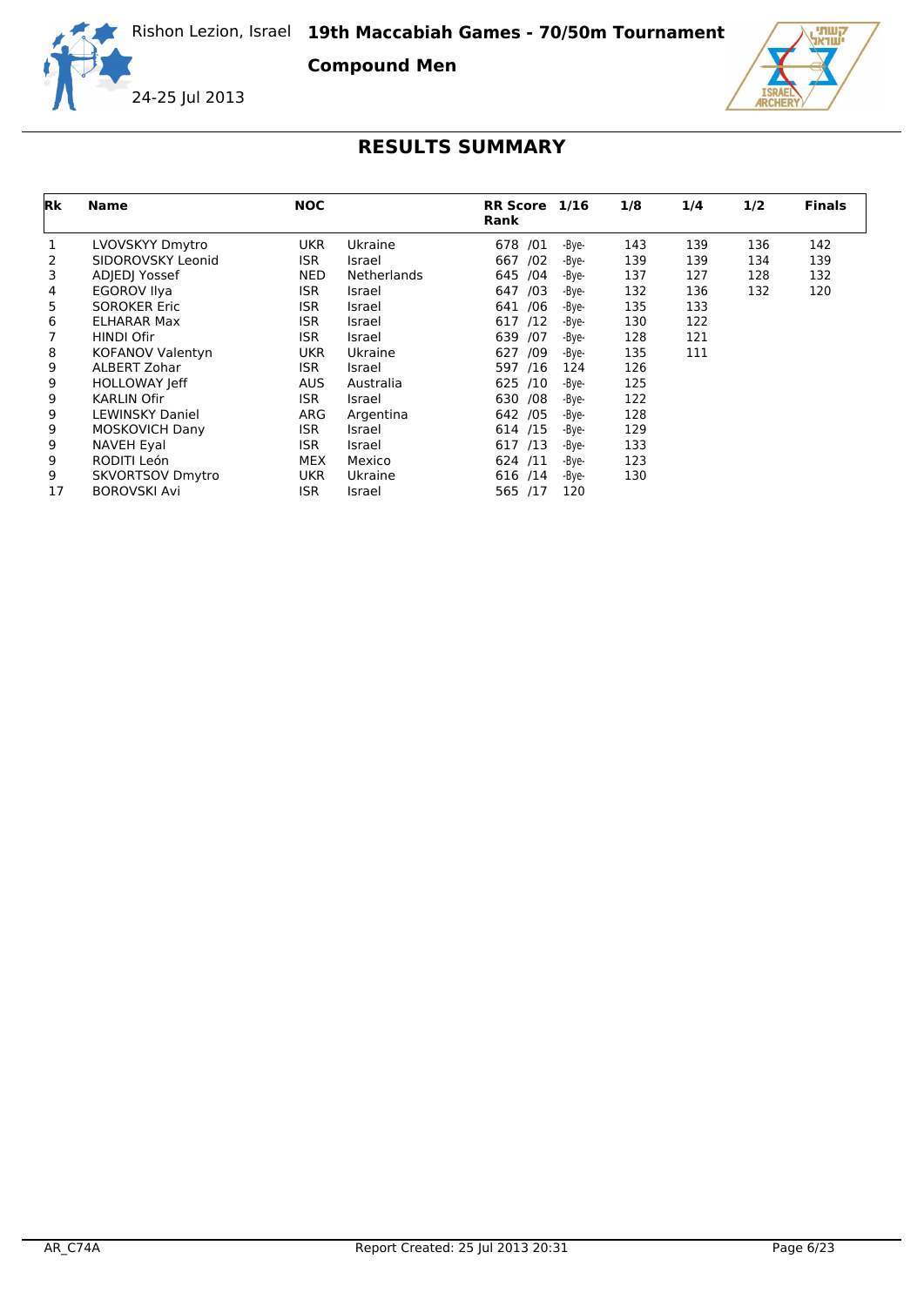**Compound Men**





| Rk | <b>Name</b>             | <b>NOC</b> |             | <b>RR Score</b><br>Rank | 1/16  | 1/8 | 1/4 | 1/2 | <b>Finals</b> |
|----|-------------------------|------------|-------------|-------------------------|-------|-----|-----|-----|---------------|
|    | LVOVSKYY Dmytro         | <b>UKR</b> | Ukraine     | 678 /01                 | -Bye- | 143 | 139 | 136 | 142           |
| 2  | SIDOROVSKY Leonid       | <b>ISR</b> | Israel      | /02<br>667              | -Bye- | 139 | 139 | 134 | 139           |
| 3  | ADJEDJ Yossef           | <b>NED</b> | Netherlands | 645 /04                 | -Bye- | 137 | 127 | 128 | 132           |
| 4  | <b>EGOROV Ilya</b>      | <b>ISR</b> | Israel      | 647<br>/03              | -Bye- | 132 | 136 | 132 | 120           |
| 5  | <b>SOROKER Eric</b>     | <b>ISR</b> | Israel      | 641 /06                 | -Bye- | 135 | 133 |     |               |
| 6  | <b>ELHARAR Max</b>      | <b>ISR</b> | Israel      | 617 /12                 | -Bye- | 130 | 122 |     |               |
|    | HINDI Ofir              | <b>ISR</b> | Israel      | 639 /07                 | -Bye- | 128 | 121 |     |               |
| 8  | KOFANOV Valentyn        | <b>UKR</b> | Ukraine     | /09<br>627              | -Bye- | 135 | 111 |     |               |
| 9  | <b>ALBERT Zohar</b>     | <b>ISR</b> | Israel      | 597 /16                 | 124   | 126 |     |     |               |
| 9  | <b>HOLLOWAY Jeff</b>    | <b>AUS</b> | Australia   | 625 /10                 | -Bye- | 125 |     |     |               |
| 9  | <b>KARLIN Ofir</b>      | <b>ISR</b> | Israel      | 630 / 08                | -Bye- | 122 |     |     |               |
| 9  | <b>LEWINSKY Daniel</b>  | ARG        | Argentina   | 642 / 05                | -Bye- | 128 |     |     |               |
| 9  | <b>MOSKOVICH Dany</b>   | <b>ISR</b> | Israel      | 614 /15                 | -Bye- | 129 |     |     |               |
| 9  | <b>NAVEH Eyal</b>       | <b>ISR</b> | Israel      | 617 /13                 | -Bye- | 133 |     |     |               |
| 9  | RODITI León             | <b>MEX</b> | Mexico      | 624 /11                 | -Bye- | 123 |     |     |               |
| 9  | <b>SKVORTSOV Dmytro</b> | <b>UKR</b> | Ukraine     | 616 /14                 | -Bye- | 130 |     |     |               |
| 17 | <b>BOROVSKI Avi</b>     | <b>ISR</b> | Israel      | 565 /17                 | 120   |     |     |     |               |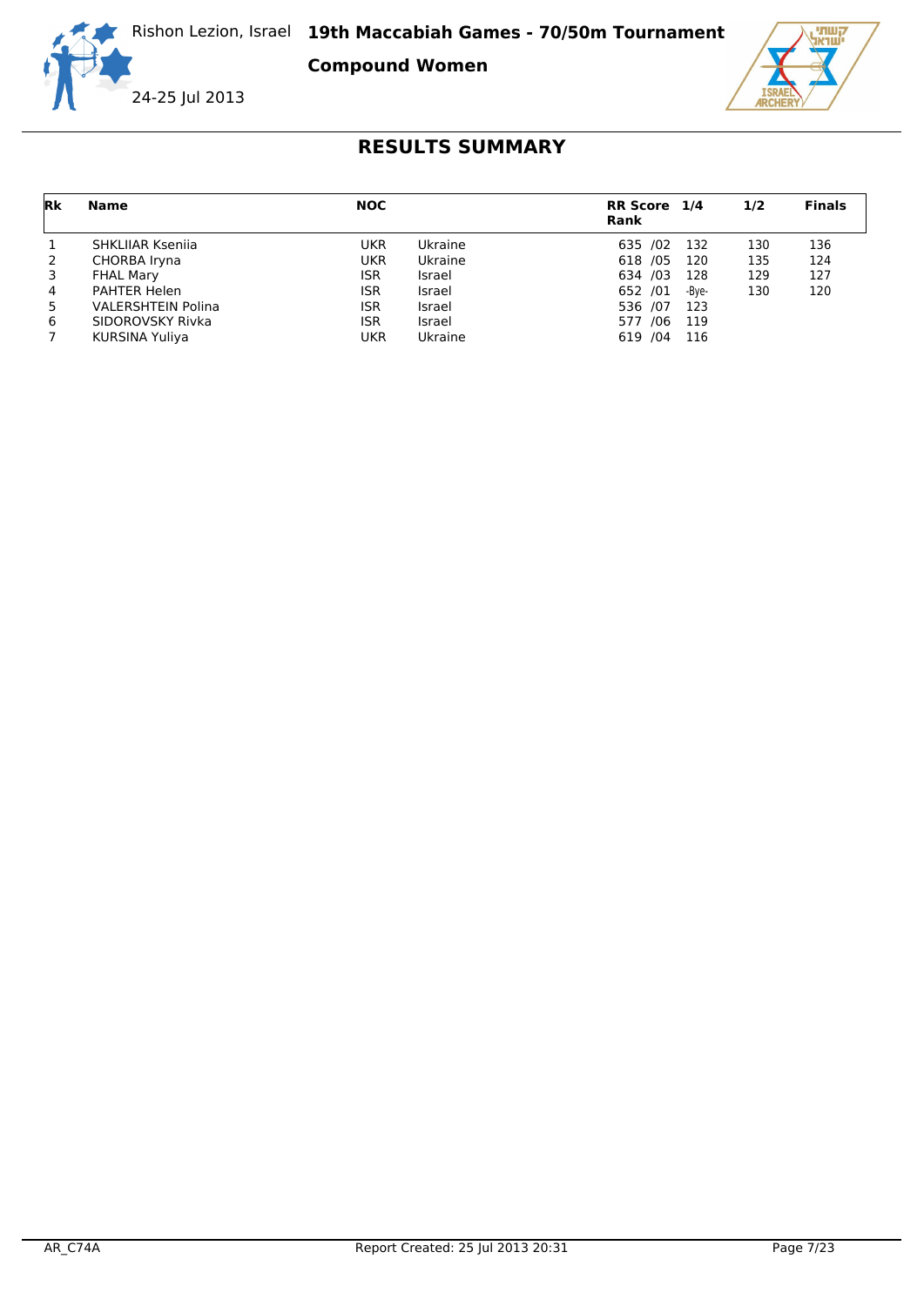**Compound Women**





| Rk | Name                      | <b>NOC</b> |         | RR Score 1/4<br><b>Rank</b> |       | 1/2 | <b>Finals</b> |
|----|---------------------------|------------|---------|-----------------------------|-------|-----|---------------|
|    | SHKLIJAR Ksenija          | UKR        | Ukraine | 635 /02                     | 132   | 130 | 136           |
| 2  | CHORBA Iryna              | <b>UKR</b> | Ukraine | 618 / 05                    | 120   | 135 | 124           |
|    | <b>FHAL Mary</b>          | ISR        | Israel  | 634 /03                     | 128   | 129 | 127           |
| 4  | <b>PAHTER Helen</b>       | ISR        | Israel  | 652 /01                     | -Bve- | 130 | 120           |
| 5  | <b>VALERSHTEIN Polina</b> | ISR        | Israel  | 536 /07                     | 123   |     |               |
| 6  | SIDOROVSKY Rivka          | ISR        | Israel  | 577 /06                     | 119   |     |               |
|    | KURSINA Yuliya            | <b>UKR</b> | Ukraine | 619 / 04                    | 116   |     |               |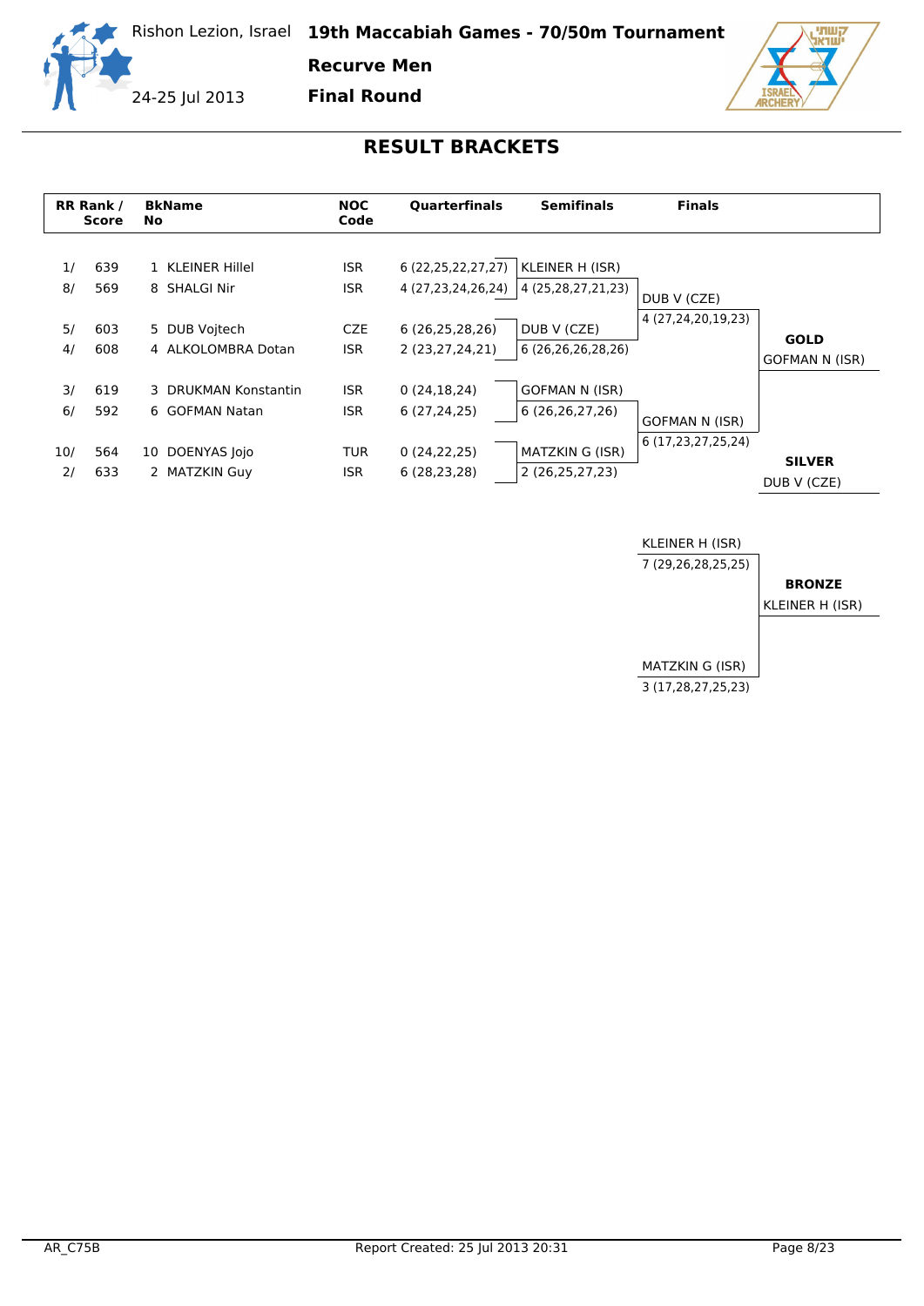

**Recurve Men**

24-25 Jul 2013

**Final Round**



|           | <b>RR Rank /</b><br><b>Score</b> | <b>BkName</b><br><b>No</b>             | <b>NOC</b><br>Code                     | <b>Ouarterfinals</b>                         | <b>Semifinals</b>                          | <b>Finals</b>                     |                                      |
|-----------|----------------------------------|----------------------------------------|----------------------------------------|----------------------------------------------|--------------------------------------------|-----------------------------------|--------------------------------------|
| 1/<br>8/  | 639<br>569                       | 1 KLEINER Hillel<br>8 SHALGI Nir       | <b>ISR</b><br><b>ISR</b><br><b>CZE</b> | 6 (22, 25, 22, 27, 27)<br>4 (27,23,24,26,24) | KLEINER H (ISR)<br>4 (25,28,27,21,23)      | DUB V (CZE)<br>4 (27,24,20,19,23) |                                      |
| 5/<br>4/  | 603<br>608                       | 5 DUB Voitech<br>4 ALKOLOMBRA Dotan    | ISR.                                   | 6(26, 25, 28, 26)<br>2 (23,27,24,21)         | DUB V (CZE)<br>6 (26,26,26,28,26)          |                                   | <b>GOLD</b><br><b>GOFMAN N (ISR)</b> |
| 3/<br>6/  | 619<br>592                       | 3 DRUKMAN Konstantin<br>6 GOFMAN Natan | <b>ISR</b><br><b>ISR</b>               | 0(24, 18, 24)<br>6(27, 24, 25)               | <b>GOFMAN N (ISR)</b><br>6(26, 26, 27, 26) | <b>GOFMAN N (ISR)</b>             |                                      |
| 10/<br>2/ | 564<br>633                       | DOENYAS Jojo<br>10<br>2 MATZKIN Guy    | <b>TUR</b><br><b>ISR</b>               | 0(24, 22, 25)<br>6(28, 23, 28)               | MATZKIN G (ISR)<br>2 (26,25,27,23)         | 6 (17,23,27,25,24)                | <b>SILVER</b><br>DUB V (CZE)         |

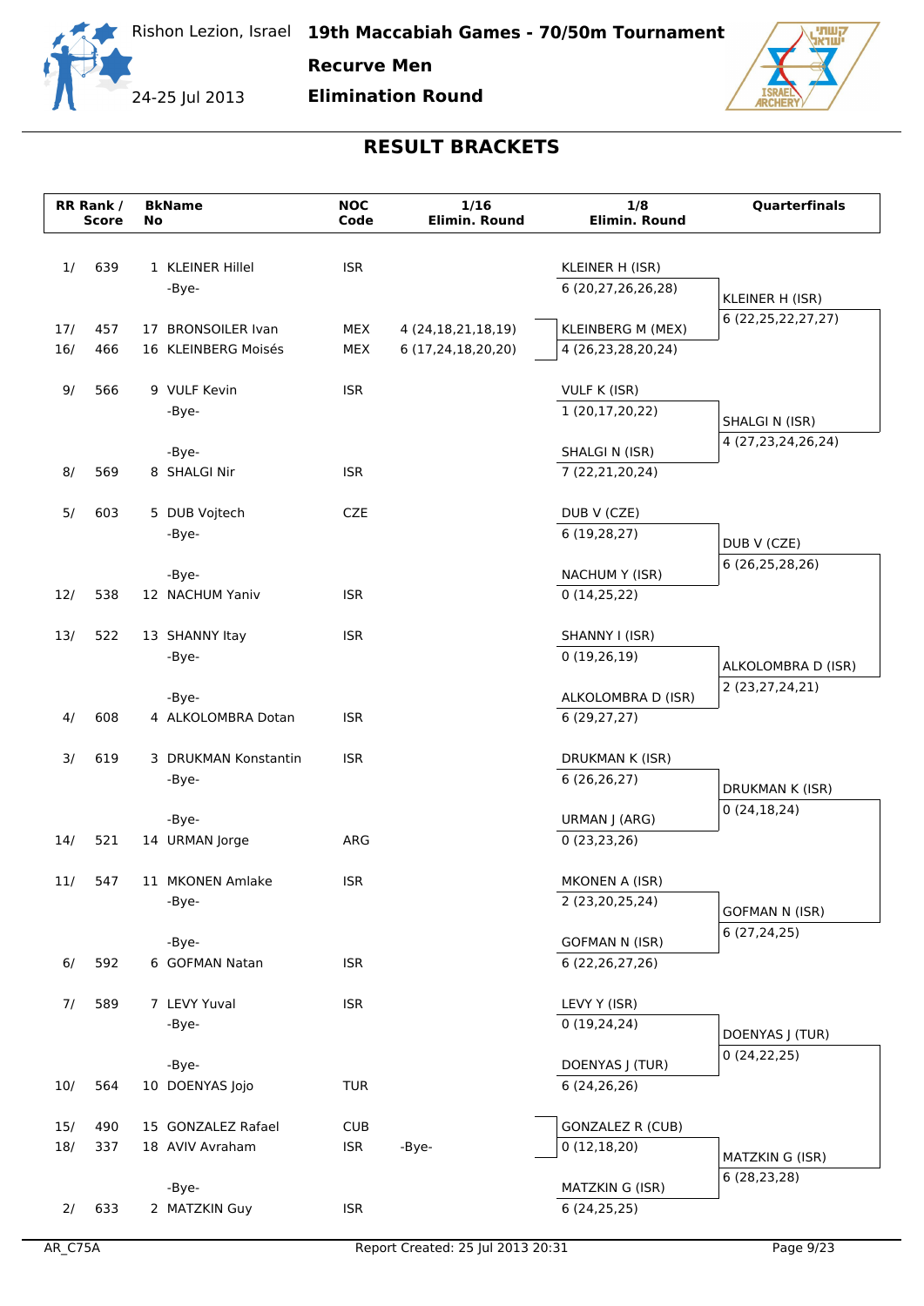

**Recurve Men**

**Elimination Round**



|            | RR Rank /<br><b>Score</b> |    | <b>BkName</b>                         | <b>NOC</b><br>Code       | 1/16<br>Elimin. Round  | 1/8<br><b>Elimin. Round</b>            | Quarterfinals          |
|------------|---------------------------|----|---------------------------------------|--------------------------|------------------------|----------------------------------------|------------------------|
|            |                           | No |                                       |                          |                        |                                        |                        |
| 1/         | 639                       |    | 1 KLEINER Hillel                      | <b>ISR</b>               |                        | KLEINER H (ISR)                        |                        |
|            |                           |    | -Bye-                                 |                          |                        | 6 (20,27,26,26,28)                     |                        |
|            |                           |    |                                       |                          |                        |                                        | KLEINER H (ISR)        |
| 17/        | 457                       |    | 17 BRONSOILER Ivan                    | MEX                      | 4 (24, 18, 21, 18, 19) | KLEINBERG M (MEX)                      | 6 (22, 25, 22, 27, 27) |
| 16/        | 466                       |    | 16 KLEINBERG Moisés                   | MEX                      | 6 (17,24,18,20,20)     | 4 (26,23,28,20,24)                     |                        |
| 9/         | 566                       |    | 9 VULF Kevin                          | <b>ISR</b>               |                        | VULF K (ISR)                           |                        |
|            |                           |    | -Bye-                                 |                          |                        | 1 (20,17,20,22)                        |                        |
|            |                           |    |                                       |                          |                        |                                        | SHALGI N (ISR)         |
|            |                           |    | -Bye-                                 |                          |                        | SHALGI N (ISR)                         | 4 (27, 23, 24, 26, 24) |
| 8/         | 569                       |    | 8 SHALGI Nir                          | <b>ISR</b>               |                        | 7 (22,21,20,24)                        |                        |
| 5/         | 603                       |    | 5 DUB Vojtech                         | <b>CZE</b>               |                        | DUB V (CZE)                            |                        |
|            |                           |    | -Bye-                                 |                          |                        | 6(19, 28, 27)                          |                        |
|            |                           |    |                                       |                          |                        |                                        | DUB V (CZE)            |
|            |                           |    | -Bye-                                 |                          |                        | NACHUM Y (ISR)                         | 6 (26,25,28,26)        |
| 12/        | 538                       |    | 12 NACHUM Yaniv                       | <b>ISR</b>               |                        | 0(14,25,22)                            |                        |
|            |                           |    |                                       |                          |                        |                                        |                        |
| 13/        | 522                       |    | 13 SHANNY Itay                        | <b>ISR</b>               |                        | SHANNY I (ISR)                         |                        |
|            |                           |    | -Bye-                                 |                          |                        | 0(19,26,19)                            | ALKOLOMBRA D (ISR)     |
|            |                           |    | -Bye-                                 |                          |                        | ALKOLOMBRA D (ISR)                     | 2 (23,27,24,21)        |
| 4/         | 608                       |    | 4 ALKOLOMBRA Dotan                    | <b>ISR</b>               |                        | 6(29, 27, 27)                          |                        |
|            |                           |    |                                       |                          |                        |                                        |                        |
| 3/         | 619                       |    | 3 DRUKMAN Konstantin<br>-Bye-         | <b>ISR</b>               |                        | DRUKMAN K (ISR)<br>6 (26,26,27)        |                        |
|            |                           |    |                                       |                          |                        |                                        | DRUKMAN K (ISR)        |
|            |                           |    | -Bye-                                 |                          |                        | URMAN J (ARG)                          | 0(24, 18, 24)          |
| 14/        | 521                       |    | 14 URMAN Jorge                        | ARG                      |                        | 0(23, 23, 26)                          |                        |
|            |                           |    |                                       |                          |                        |                                        |                        |
| 11/        | 547                       |    | 11 MKONEN Amlake<br>-Bye-             | <b>ISR</b>               |                        | MKONEN A (ISR)<br>2 (23,20,25,24)      |                        |
|            |                           |    |                                       |                          |                        |                                        | <b>GOFMAN N (ISR)</b>  |
|            |                           |    | -Bye-                                 |                          |                        | <b>GOFMAN N (ISR)</b>                  | 6(27, 24, 25)          |
| 6/         | 592                       |    | 6 GOFMAN Natan                        | <b>ISR</b>               |                        | 6 (22, 26, 27, 26)                     |                        |
|            |                           |    |                                       |                          |                        |                                        |                        |
| 7/         | 589                       |    | 7 LEVY Yuval<br>-Bye-                 | <b>ISR</b>               |                        | LEVY Y (ISR)<br>0(19, 24, 24)          |                        |
|            |                           |    |                                       |                          |                        |                                        | DOENYAS J (TUR)        |
|            |                           |    | -Bye-                                 |                          |                        | DOENYAS J (TUR)                        | 0(24,22,25)            |
| 10/        | 564                       |    | 10 DOENYAS Jojo                       | <b>TUR</b>               |                        | 6(24, 26, 26)                          |                        |
|            |                           |    |                                       |                          |                        |                                        |                        |
| 15/<br>18/ | 490<br>337                |    | 15 GONZALEZ Rafael<br>18 AVIV Avraham | <b>CUB</b><br><b>ISR</b> | -Bye-                  | <b>GONZALEZ R (CUB)</b><br>0(12,18,20) |                        |
|            |                           |    |                                       |                          |                        |                                        | MATZKIN G (ISR)        |
|            |                           |    | -Bye-                                 |                          |                        | MATZKIN G (ISR)                        | 6 (28,23,28)           |
| 2/         | 633                       |    | 2 MATZKIN Guy                         | <b>ISR</b>               |                        | 6(24, 25, 25)                          |                        |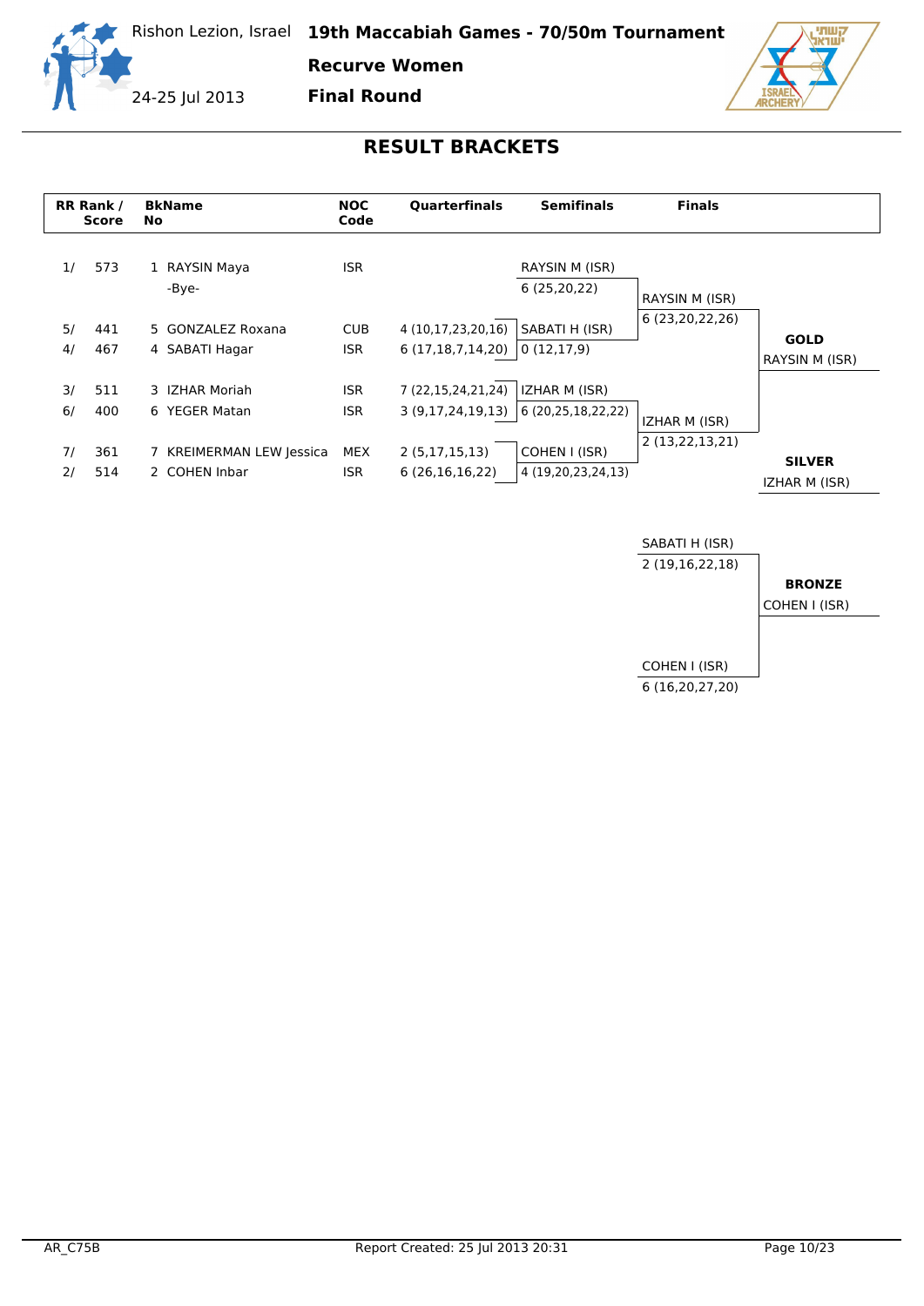

**Recurve Women**

24-25 Jul 2013

**Final Round**



|          | RR Rank /<br>Score | <b>BkName</b><br>No.                      | <b>NOC</b><br>Code       | <b>Ouarterfinals</b>                   | <b>Semifinals</b>                   | <b>Finals</b>   |                                |
|----------|--------------------|-------------------------------------------|--------------------------|----------------------------------------|-------------------------------------|-----------------|--------------------------------|
| 1/       | 573                | 1 RAYSIN Maya<br>-Bye-                    | <b>ISR</b>               |                                        | RAYSIN M (ISR)<br>6(25, 20, 22)     | RAYSIN M (ISR)  |                                |
| 5/<br>4/ | 441<br>467         | 5 GONZALEZ Roxana<br>4 SABATI Hagar       | <b>CUB</b><br><b>ISR</b> | 4 (10,17,23,20,16)<br>6(17,18,7,14,20) | SABATI H (ISR)<br>0(12,17,9)        | 6 (23,20,22,26) | <b>GOLD</b><br>RAYSIN M (ISR)  |
| 3/<br>6/ | 511<br>400         | 3 IZHAR Moriah<br>6 YEGER Matan           | <b>ISR</b><br><b>ISR</b> | 7 (22,15,24,21,24)<br>3(9,17,24,19,13) | IZHAR M (ISR)<br>6 (20,25,18,22,22) | IZHAR M (ISR)   |                                |
| 71<br>2/ | 361<br>514         | 7 KREIMERMAN LEW Jessica<br>2 COHEN Inbar | MEX<br><b>ISR</b>        | 2(5,17,15,13)<br>6(26,16,16,22)        | COHEN I (ISR)<br>4 (19,20,23,24,13) | 2 (13,22,13,21) | <b>SILVER</b><br>IZHAR M (ISR) |

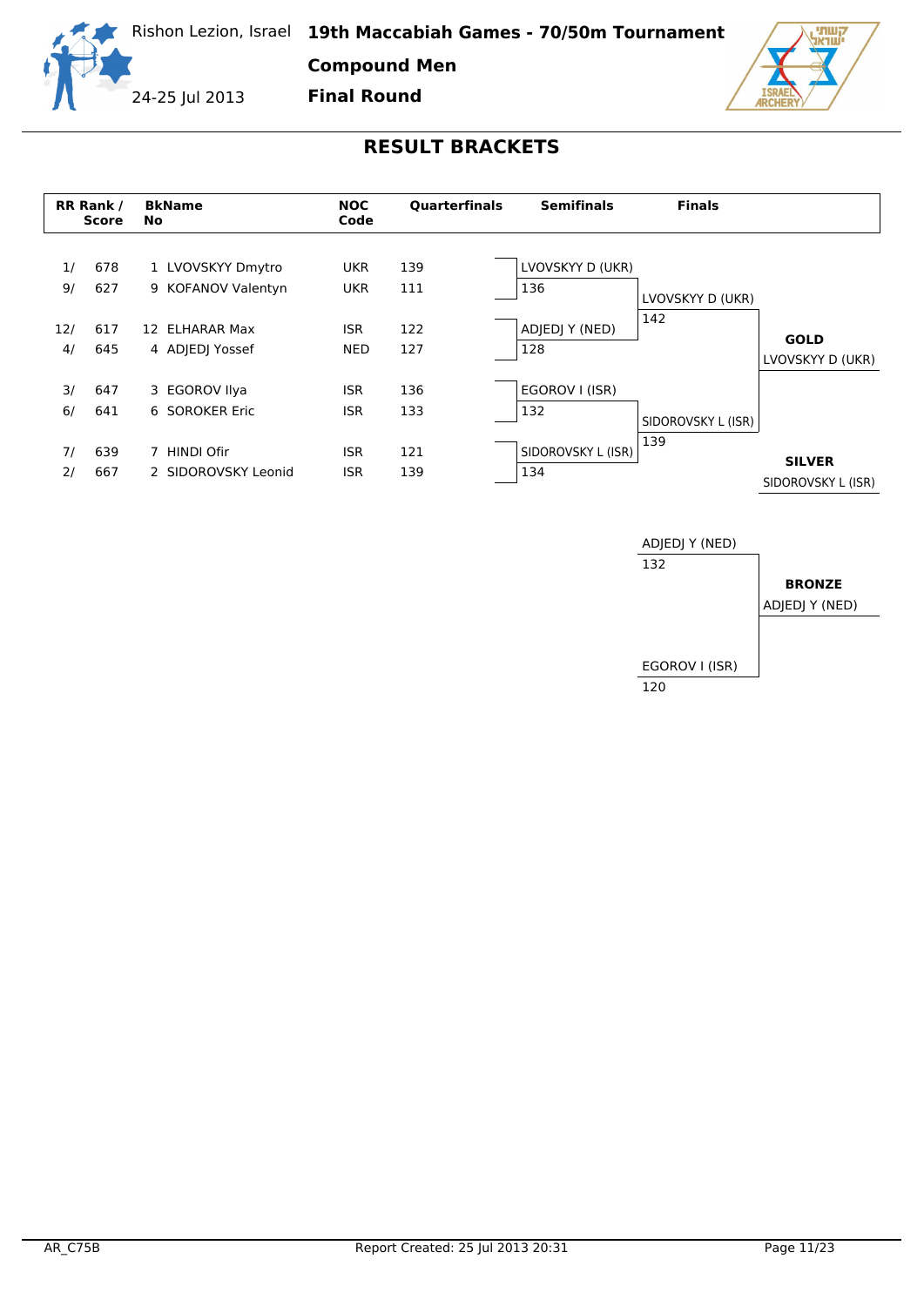

**Compound Men**

24-25 Jul 2013

**Final Round**





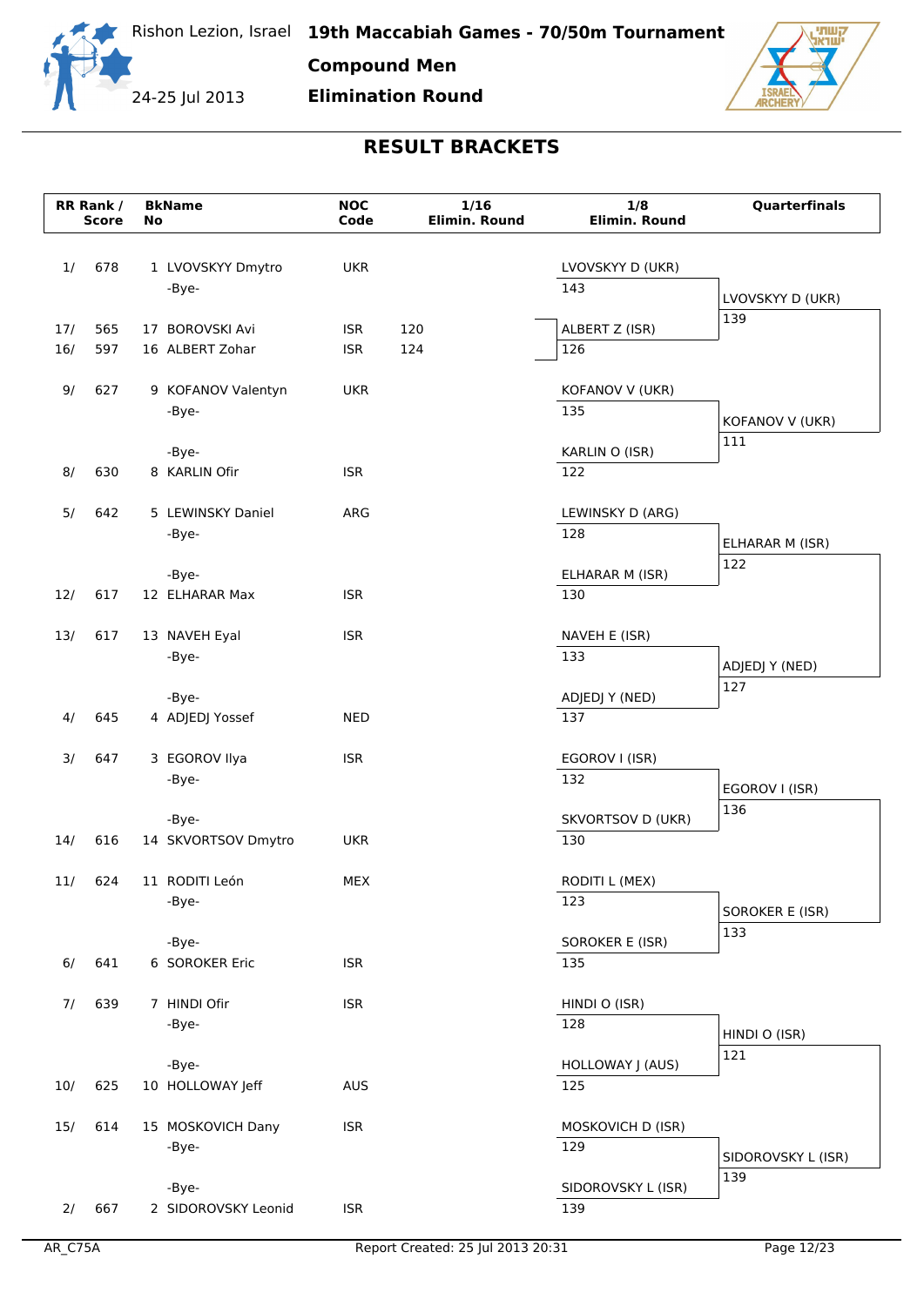

| 17/        | 565 | 17 BOROVSKI Avi         | <b>ISR</b> | 120                               | ALBERT Z (ISR)           | פכב                |
|------------|-----|-------------------------|------------|-----------------------------------|--------------------------|--------------------|
| 16/        | 597 | 16 ALBERT Zohar         | <b>ISR</b> | 124                               | 126                      |                    |
| 9/         | 627 | 9 KOFANOV Valentyn      | <b>UKR</b> |                                   | KOFANOV V (UKR)          |                    |
|            |     | -Bye-                   |            |                                   | 135                      |                    |
|            |     |                         |            |                                   |                          | KOFANOV V (UKR)    |
|            |     | -Bye-                   |            |                                   | KARLIN O (ISR)           | 111                |
| 8/         | 630 | 8 KARLIN Ofir           | <b>ISR</b> |                                   | 122                      |                    |
| 5/         | 642 | 5 LEWINSKY Daniel       | ARG        |                                   | LEWINSKY D (ARG)         |                    |
|            |     | -Bye-                   |            |                                   | 128                      | ELHARAR M (ISR)    |
|            |     | -Bye-                   |            |                                   | ELHARAR M (ISR)          | 122                |
| 12/        | 617 | 12 ELHARAR Max          | <b>ISR</b> |                                   | 130                      |                    |
| 13/        | 617 | 13 NAVEH Eyal           | <b>ISR</b> |                                   | NAVEH E (ISR)            |                    |
|            |     | -Bye-                   |            |                                   | 133                      | ADJEDJ Y (NED)     |
|            |     |                         |            |                                   |                          | 127                |
|            |     | -Bye-                   |            |                                   | ADJEDJ Y (NED)           |                    |
| 4/         | 645 | 4 ADJEDJ Yossef         | <b>NED</b> |                                   | 137                      |                    |
| 3/         | 647 | 3 EGOROV Ilya           | <b>ISR</b> |                                   | EGOROV I (ISR)           |                    |
|            |     | -Bye-                   |            |                                   | 132                      | EGOROV I (ISR)     |
|            |     | -Bye-                   |            |                                   | SKVORTSOV D (UKR)        | 136                |
| 14/        | 616 | 14 SKVORTSOV Dmytro     | <b>UKR</b> |                                   | 130                      |                    |
| 11/        | 624 | 11 RODITI León          | MEX        |                                   | RODITI L (MEX)           |                    |
|            |     | -Bye-                   |            |                                   | 123                      | SOROKER E (ISR)    |
|            |     |                         |            |                                   |                          | 133                |
| 6/         | 641 | -Bye-<br>6 SOROKER Eric | <b>ISR</b> |                                   | SOROKER E (ISR)<br>135   |                    |
|            |     |                         |            |                                   |                          |                    |
| 7/         | 639 | 7 HINDI Ofir            | <b>ISR</b> |                                   | HINDI O (ISR)            |                    |
|            |     | -Bye-                   |            |                                   | 128                      | HINDI O (ISR)      |
|            |     | -Bye-                   |            |                                   | HOLLOWAY J (AUS)         | 121                |
| 10/        | 625 | 10 HOLLOWAY Jeff        | <b>AUS</b> |                                   | 125                      |                    |
|            |     |                         |            |                                   |                          |                    |
| 15/        | 614 | 15 MOSKOVICH Dany       | <b>ISR</b> |                                   | MOSKOVICH D (ISR)<br>129 |                    |
|            |     | -Bye-                   |            |                                   |                          | SIDOROVSKY L (ISR) |
|            |     | -Bye-                   |            |                                   | SIDOROVSKY L (ISR)       | 139                |
| 2/         | 667 | 2 SIDOROVSKY Leonid     | <b>ISR</b> |                                   | 139                      |                    |
| $AR_C$ 75A |     |                         |            | Report Created: 25 Jul 2013 20:31 |                          | Page 12/23         |
|            |     |                         |            |                                   |                          |                    |



**No**

**Bk Name NOC**

1/ 678 1 LVOVSKYY Dmytro UKR

-Bye-

**RR Rank / Score** **Compound Men**

**Code**

**Elimination Round**

**RESULT BRACKETS**

**1/16 Elimin. Round**

**1/8 Elimin. Round**

LVOVSKYY D (UKR)

143



**Quarterfinals**

LVOVSKYY D (UKR)

139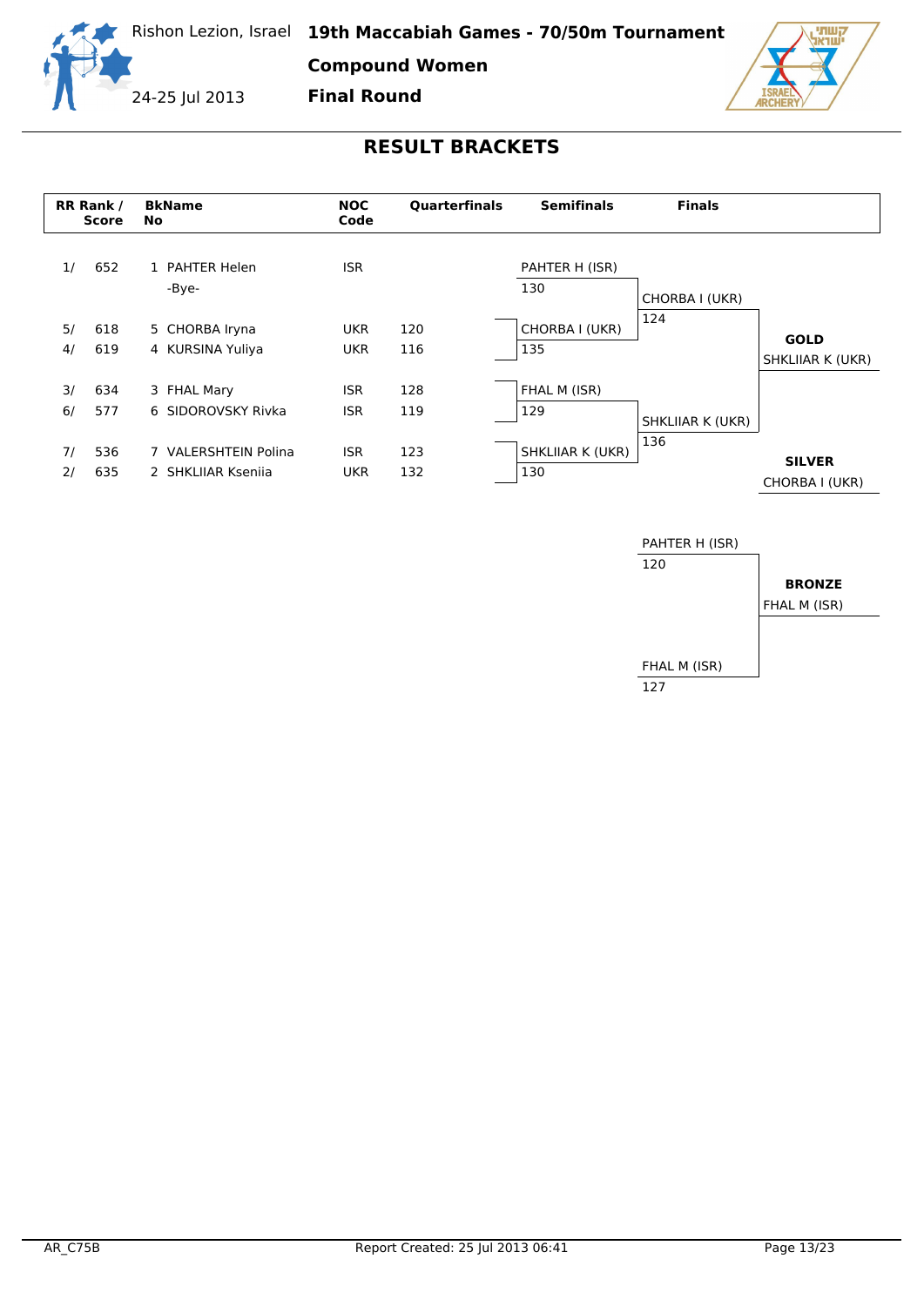

**Compound Women**

**Final Round**

24-25 Jul 2013



|    | <b>RR Rank /</b><br><b>Score</b> | <b>BkName</b><br><b>No</b> | <b>NOC</b><br>Code | <b>Quarterfinals</b> | <b>Semifinals</b>       | <b>Finals</b>    |                                 |
|----|----------------------------------|----------------------------|--------------------|----------------------|-------------------------|------------------|---------------------------------|
| 1/ | 652                              | 1 PAHTER Helen<br>-Bye-    | <b>ISR</b>         |                      | PAHTER H (ISR)<br>130   |                  |                                 |
|    |                                  |                            |                    |                      |                         | CHORBA I (UKR)   |                                 |
| 5/ | 618                              | 5 CHORBA Iryna             | <b>UKR</b>         | 120                  | CHORBA I (UKR)          | 124              |                                 |
| 4/ | 619                              | 4 KURSINA Yuliya           | <b>UKR</b>         | 116                  | 135                     |                  | <b>GOLD</b><br>SHKLIIAR K (UKR) |
| 3/ | 634                              | 3 FHAL Mary                | <b>ISR</b>         | 128                  | FHAL M (ISR)            |                  |                                 |
| 6/ | 577                              | 6 SIDOROVSKY Rivka         | <b>ISR</b>         | 119                  | 129                     | SHKLIIAR K (UKR) |                                 |
| 7/ | 536                              | 7 VALERSHTEIN Polina       | <b>ISR</b>         | 123                  | <b>SHKLIIAR K (UKR)</b> | 136              |                                 |
| 2/ | 635                              | 2 SHKLIJAR Ksenija         | <b>UKR</b>         | 132                  | 130                     |                  | <b>SILVER</b><br>CHORBA I (UKR) |

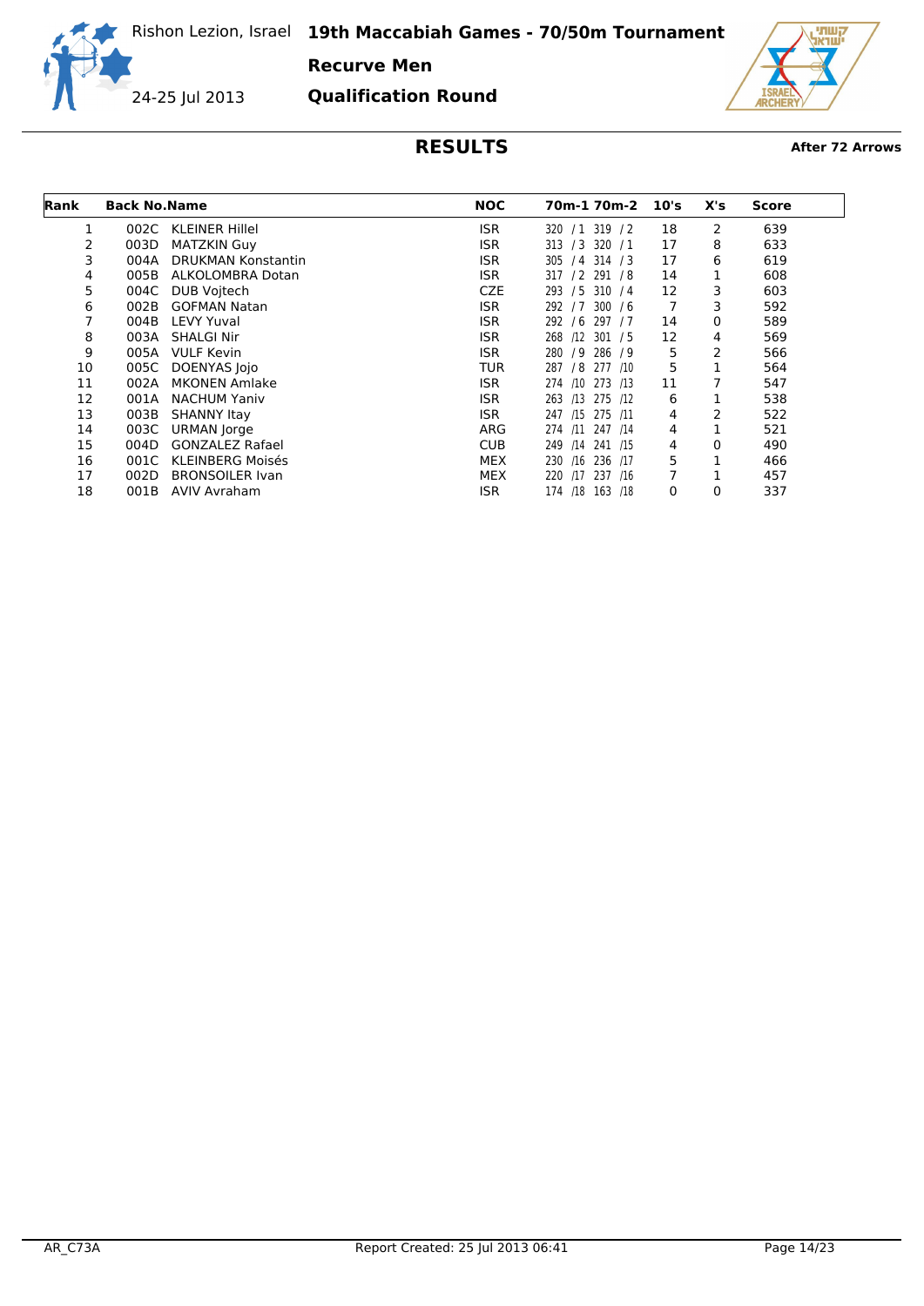**Recurve Men**

24-25 Jul 2013

**Qualification Round**



| Rank | <b>Back No. Name</b> |                           | <b>NOC</b> | 70m-1 70m-2           | 10's | X's | <b>Score</b> |
|------|----------------------|---------------------------|------------|-----------------------|------|-----|--------------|
|      | 002C                 | <b>KLEINER Hillel</b>     | <b>ISR</b> | 320 / 1 319 / 2       | 18   | 2   | 639          |
| 2    | 003D                 | <b>MATZKIN Guy</b>        | <b>ISR</b> | 313 / 3 320 / 1       | 17   | 8   | 633          |
| 3    | 004A                 | <b>DRUKMAN Konstantin</b> | <b>ISR</b> | $/4$ 314 $/3$<br>305  | 17   | 6   | 619          |
| 4    | 005B                 | ALKOLOMBRA Dotan          | <b>ISR</b> | 317 / 2 291 / 8       | 14   |     | 608          |
| 5    | 004C                 | DUB Voitech               | <b>CZE</b> | 293 / 5 310 / 4       | 12   | 3   | 603          |
| 6    | 002B                 | <b>GOFMAN Natan</b>       | <b>ISR</b> | 292/7<br>300 / 6      | 7    | 3   | 592          |
|      | 004B                 | LEVY Yuval                | <b>ISR</b> | 297 / 7<br>292/6      | 14   | 0   | 589          |
| 8    | 003A                 | <b>SHALGI Nir</b>         | <b>ISR</b> | 268<br>$/12$ 301 / 5  | 12   | 4   | 569          |
| 9    | 005A                 | <b>VULF Kevin</b>         | <b>ISR</b> | 280<br>/9 286 /9      | 5    | 2   | 566          |
| 10   | 005C                 | <b>DOENYAS lojo</b>       | <b>TUR</b> | 287<br>/8 277 /10     | 5    |     | 564          |
| 11   | 002A                 | <b>MKONEN Amlake</b>      | ISR.       | 274<br>/10 273 /13    | 11   |     | 547          |
| 12   | 001A                 | <b>NACHUM Yaniv</b>       | <b>ISR</b> | 263 /13 275 /12       | 6    |     | 538          |
| 13   | 003B                 | <b>SHANNY Itay</b>        | ISR.       | 247 /15 275 /11       | 4    | 2   | 522          |
| 14   | 003C                 | URMAN Jorge               | ARG        | 274 /11 247 /14       | 4    | 1   | 521          |
| 15   | 004D                 | <b>GONZALEZ Rafael</b>    | <b>CUB</b> | 249 /14 241 /15       | 4    | 0   | 490          |
| 16   | 001C                 | <b>KLEINBERG Moisés</b>   | <b>MEX</b> | 230<br>/16<br>236 /17 | 5    |     | 466          |
| 17   | 002D                 | <b>BRONSOILER Ivan</b>    | <b>MEX</b> | 220<br>/17 237 /16    | 7    |     | 457          |
| 18   | 001B                 | AVIV Avraham              | ISR        | 174 /18 163 /18       | 0    | 0   | 337          |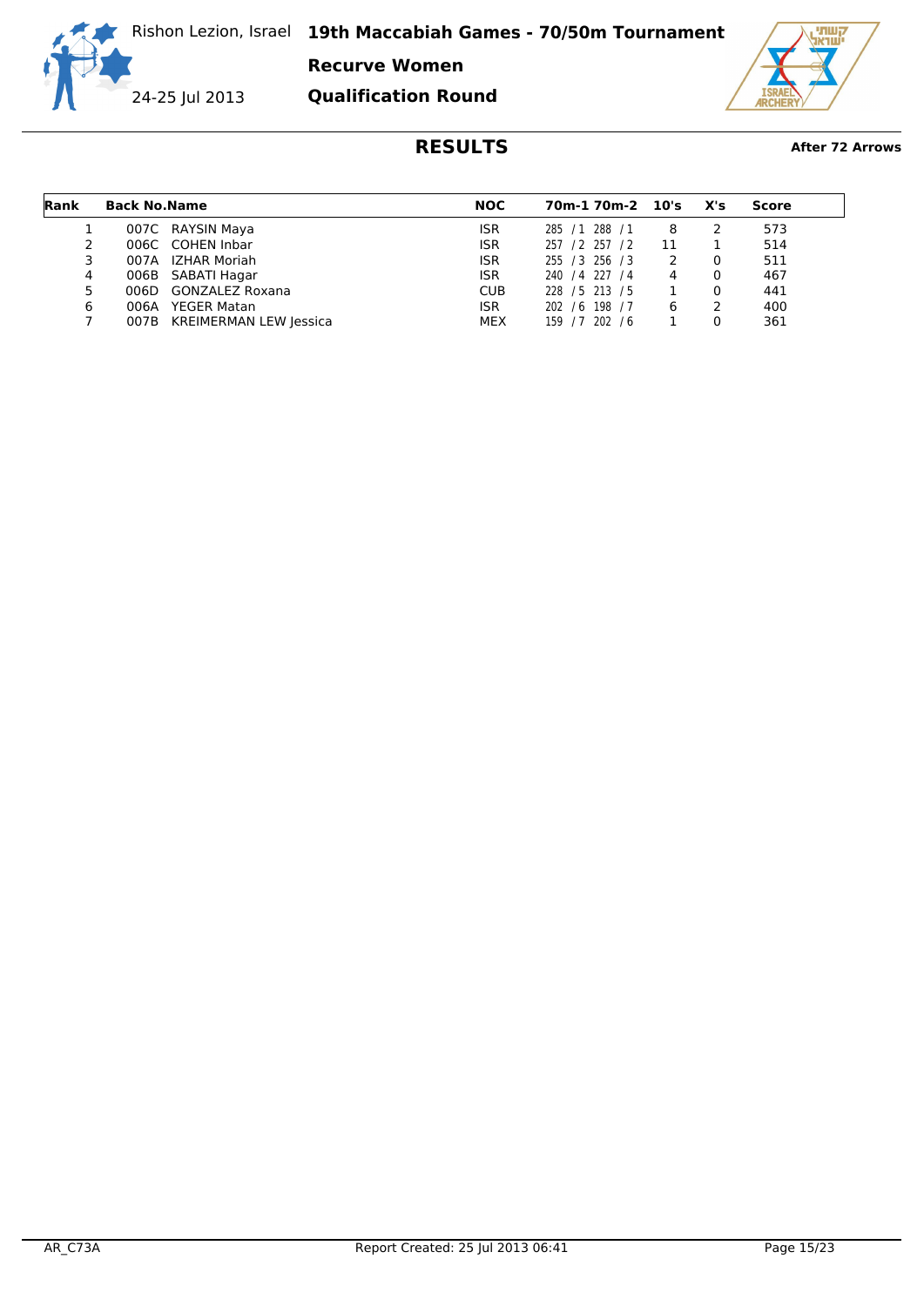**Recurve Women**

**Qualification Round**

24-25 Jul 2013



| Rank | <b>Back No. Name</b> |                             | <b>NOC</b> | 70m-1 70m-2 10's |    | X's | Score |
|------|----------------------|-----------------------------|------------|------------------|----|-----|-------|
|      |                      | 007C RAYSIN Maya            | <b>ISR</b> | 285 / 1 288 / 1  | 8  |     | 573   |
|      |                      | 006C COHEN Inbar            | <b>ISR</b> | 257 / 2 257 / 2  | 11 |     | 514   |
|      |                      | 007A IZHAR Moriah           | <b>ISR</b> | 255 / 3 256 / 3  | 2  |     | 511   |
| 4    |                      | 006B SABATI Hagar           | <b>ISR</b> | 240 / 4 227 / 4  | 4  |     | 467   |
| 5.   | 006D                 | GONZALEZ Roxana             | <b>CUB</b> | 228 / 5 213 / 5  |    |     | 441   |
| 6    | 006A                 | YEGER Matan                 | <b>ISR</b> | 202 / 6 198 / 7  | 6  |     | 400   |
|      |                      | 007B KREIMERMAN LEW Jessica | MEX        | 159 / 7 202 / 6  |    |     | 361   |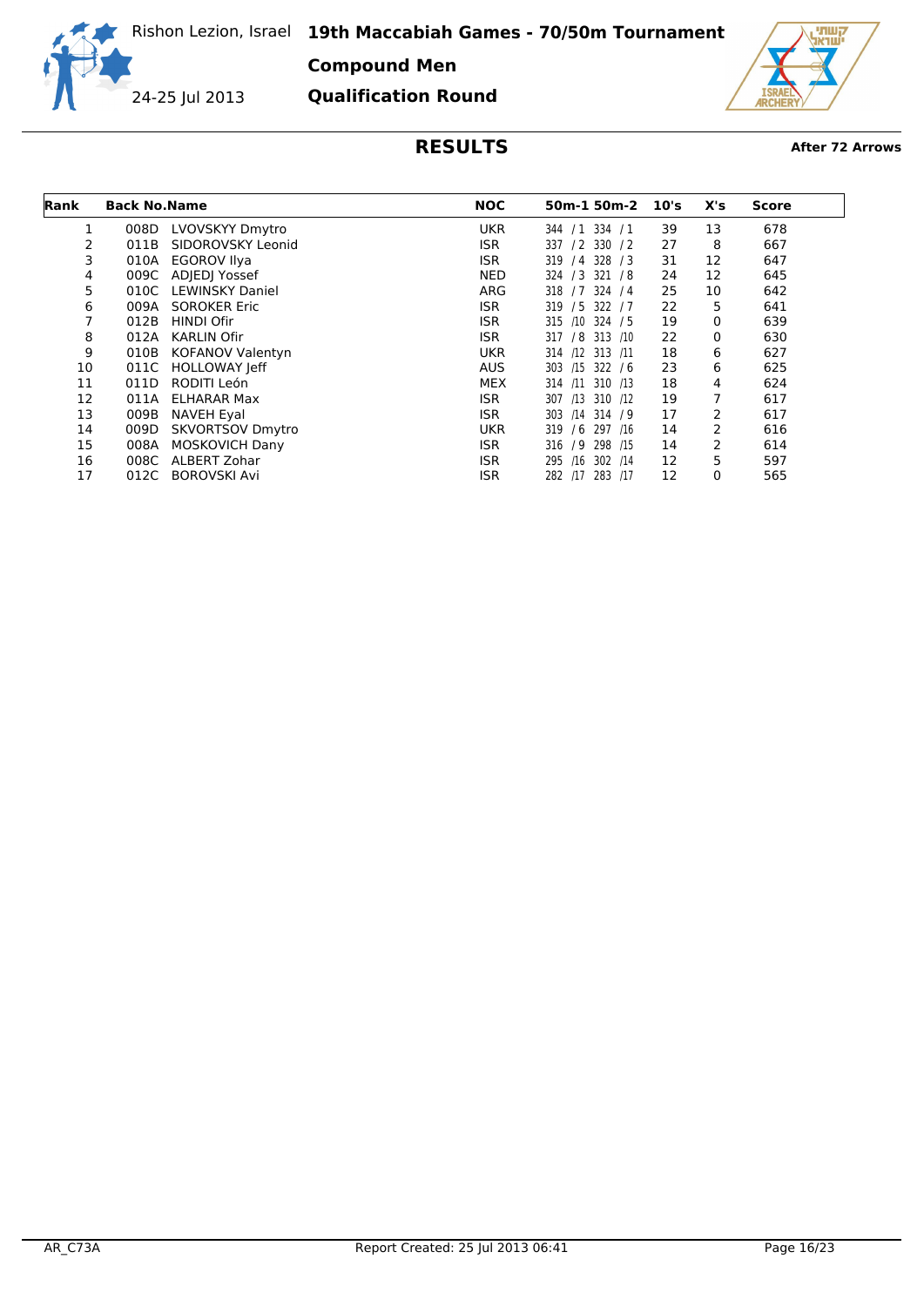**Compound Men**

24-25 Jul 2013

**Qualification Round**



| <b>Rank</b> | <b>Back No. Name</b> |                         | <b>NOC</b> | 50m-1 50m-2            | 10's | X's | <b>Score</b> |
|-------------|----------------------|-------------------------|------------|------------------------|------|-----|--------------|
|             | 008D                 | LVOVSKYY Dmytro         | <b>UKR</b> | $/1$ 334 $/1$<br>344   | 39   | 13  | 678          |
| 2           | 011B                 | SIDOROVSKY Leonid       | ISR.       | $/2$ 330 $/2$<br>337   | 27   | 8   | 667          |
| 3           | 010A                 | <b>EGOROV Ilya</b>      | <b>ISR</b> | 328 / 3<br>319<br>/4   | 31   | 12  | 647          |
| 4           | 009C                 | ADJEDJ Yossef           | NED        | 324 / 3<br>321 / 8     | 24   | 12  | 645          |
| 5           | 010C                 | <b>LEWINSKY Daniel</b>  | ARG        | 324 / 4<br>318<br>17   | 25   | 10  | 642          |
| 6           | 009A                 | <b>SOROKER Eric</b>     | <b>ISR</b> | 322/7<br>319 / 5       | 22   | 5   | 641          |
| 7           | 012B                 | <b>HINDI Ofir</b>       | ISR.       | /10<br>324 / 5<br>315  | 19   | 0   | 639          |
| 8           | 012A                 | <b>KARLIN Ofir</b>      | ISR.       | /8<br>313 /10<br>317   | 22   | 0   | 630          |
| 9           | 010B                 | <b>KOFANOV Valentyn</b> | <b>UKR</b> | $/12$ 313 $/11$<br>314 | 18   | 6   | 627          |
| 10          | 011C                 | <b>HOLLOWAY Jeff</b>    | <b>AUS</b> | 322/6<br>303<br>/15    | 23   | 6   | 625          |
| 11          | 011D                 | RODITI León             | <b>MEX</b> | $/11$ 310 $/13$<br>314 | 18   | 4   | 624          |
| 12          | 011A                 | <b>ELHARAR Max</b>      | <b>ISR</b> | 307<br>310 /12<br>/13  | 19   | 7   | 617          |
| 13          | 009B                 | <b>NAVEH Eyal</b>       | ISR.       | 303<br>$/14$ 314 $/9$  | 17   | 2   | 617          |
| 14          | 009D                 | <b>SKVORTSOV Dmytro</b> | <b>UKR</b> | 297 /16<br>319<br>/6   | 14   | 2   | 616          |
| 15          | 008A                 | <b>MOSKOVICH Dany</b>   | ISR.       | 298 /15<br>316<br>/9   | 14   | 2   | 614          |
| 16          | 008C                 | <b>ALBERT Zohar</b>     | <b>ISR</b> | 302 / 14<br>295<br>/16 | 12   | 5   | 597          |
| 17          | 012C                 | <b>BOROVSKI Avi</b>     | <b>ISR</b> | 282 /17 283 /17        | 12   | 0   | 565          |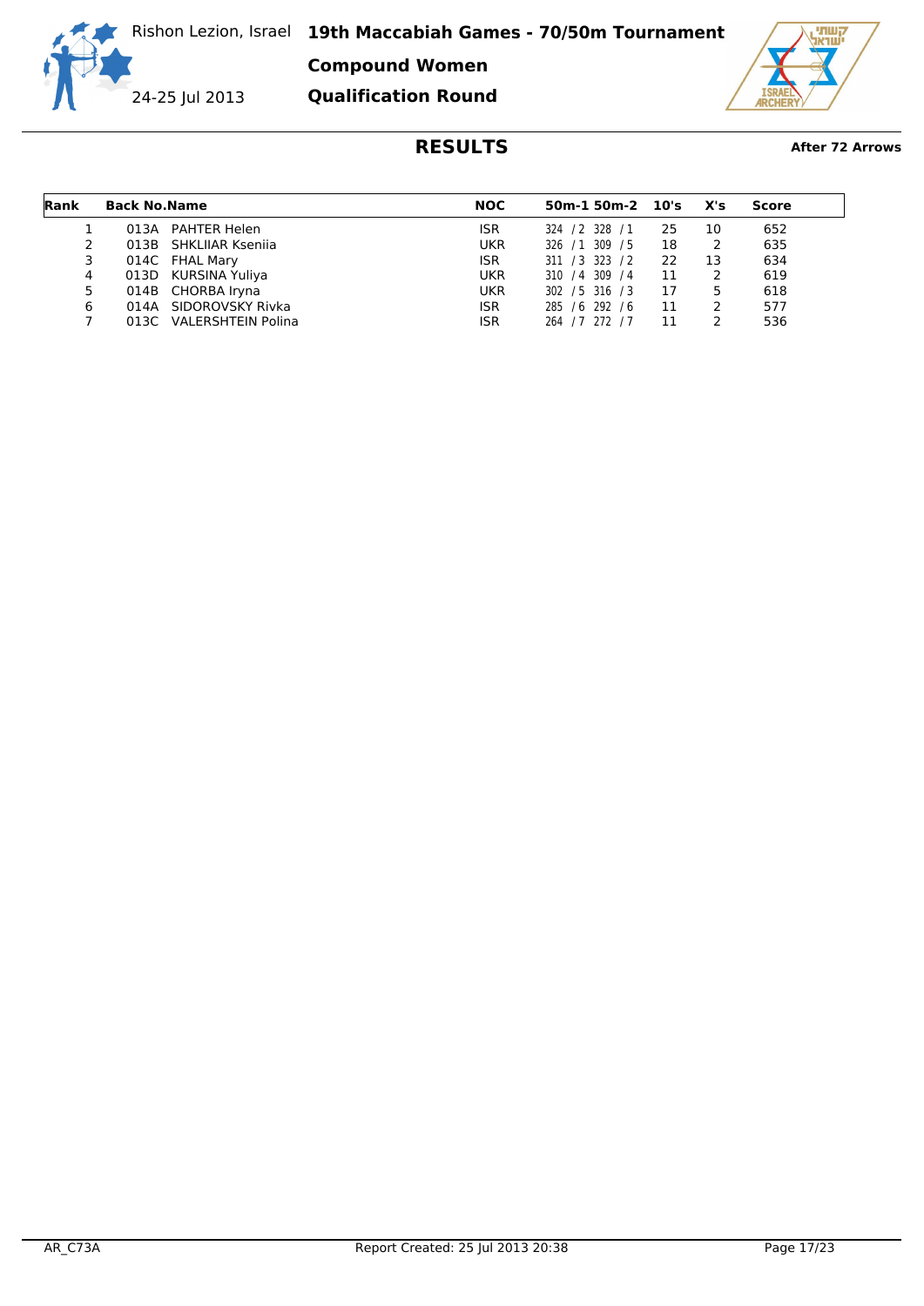**Compound Women Qualification Round**

24-25 Jul 2013

गण ëтн

| Rank | <b>Back No. Name</b> |                         | NOC        | $50m-1$ $50m-2$ $10's$ |    | X's | Score |
|------|----------------------|-------------------------|------------|------------------------|----|-----|-------|
|      |                      | 013A PAHTER Helen       | <b>ISR</b> | 324 / 2 328 / 1        | 25 | 10  | 652   |
|      |                      | 013B SHKLIIAR Ksenija   | <b>UKR</b> | 326 / 1 309 / 5        | 18 |     | 635   |
| 3    |                      | 014C FHAL Mary          | <b>ISR</b> | 311 / 3 323 / 2        | 22 | 13  | 634   |
| 4    |                      | 013D KURSINA Yuliya     | <b>UKR</b> | 310 / 4 309 / 4        | 11 |     | 619   |
| 5.   |                      | 014B CHORBA Iryna       | <b>UKR</b> | 302 / 5 316 / 3        | 17 | 5   | 618   |
| 6    |                      | 014A SIDOROVSKY Rivka   | <b>ISR</b> | 285 / 6 292 / 6        | 11 |     | 577   |
|      |                      | 013C VALERSHTEIN Polina | <b>ISR</b> | 264 / 7 272 / 7        | 11 |     | 536   |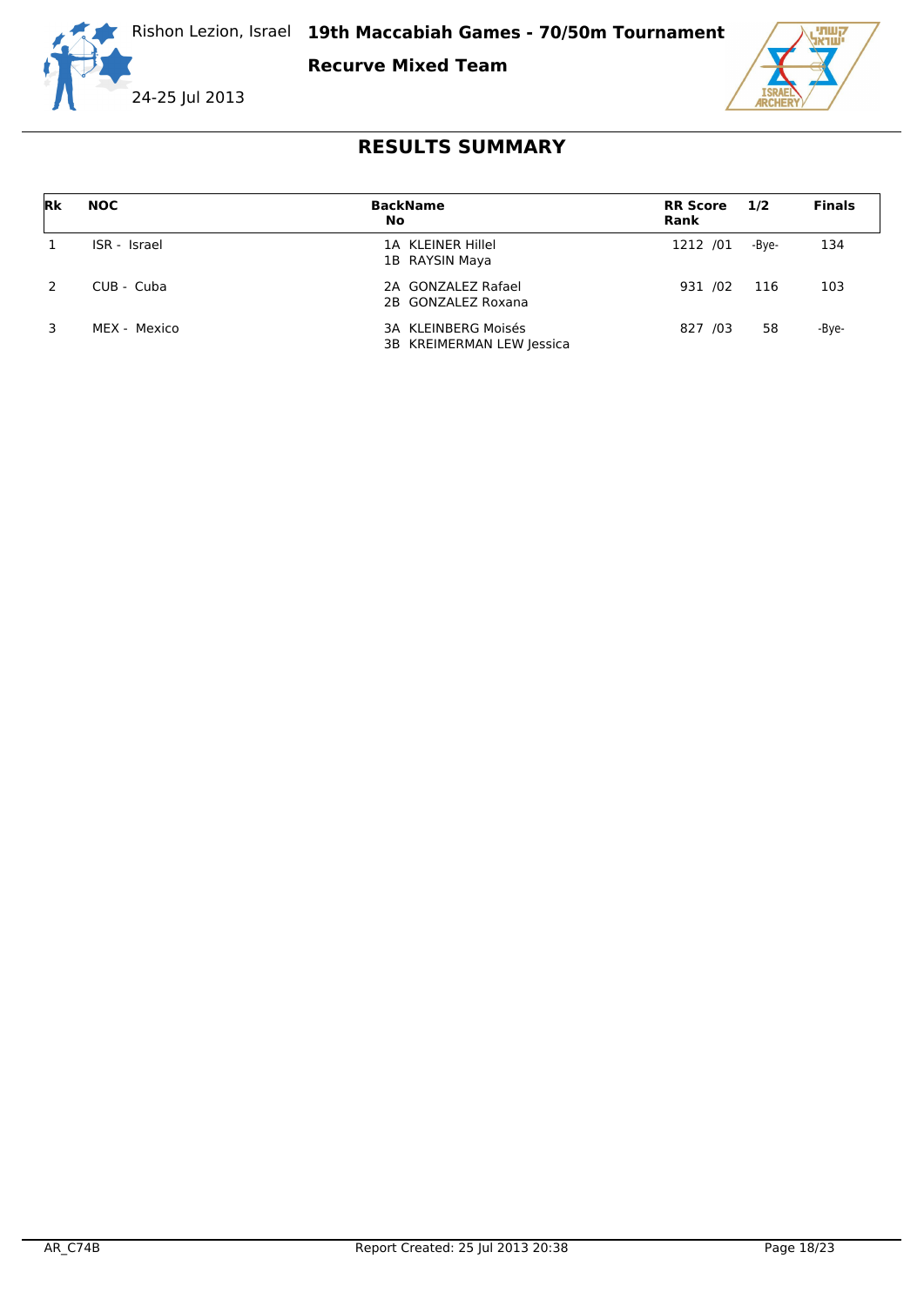

**Recurve Mixed Team**



| Rk | <b>NOC</b>   | <b>BackName</b><br>No                            | <b>RR Score</b><br>Rank | 1/2   | <b>Finals</b> |
|----|--------------|--------------------------------------------------|-------------------------|-------|---------------|
|    | ISR - Israel | 1A KLEINER Hillel<br>1B RAYSIN Maya              | 1212 /01                | -Bve- | 134           |
|    | $CUB - Cuba$ | 2A GONZALEZ Rafael<br>2B GONZALEZ Roxana         | 931 /02                 | 116   | 103           |
|    | MEX - Mexico | 3A KLEINBERG Moisés<br>3B KREIMERMAN LEW Jessica | 827 /03                 | 58    | -Bye-         |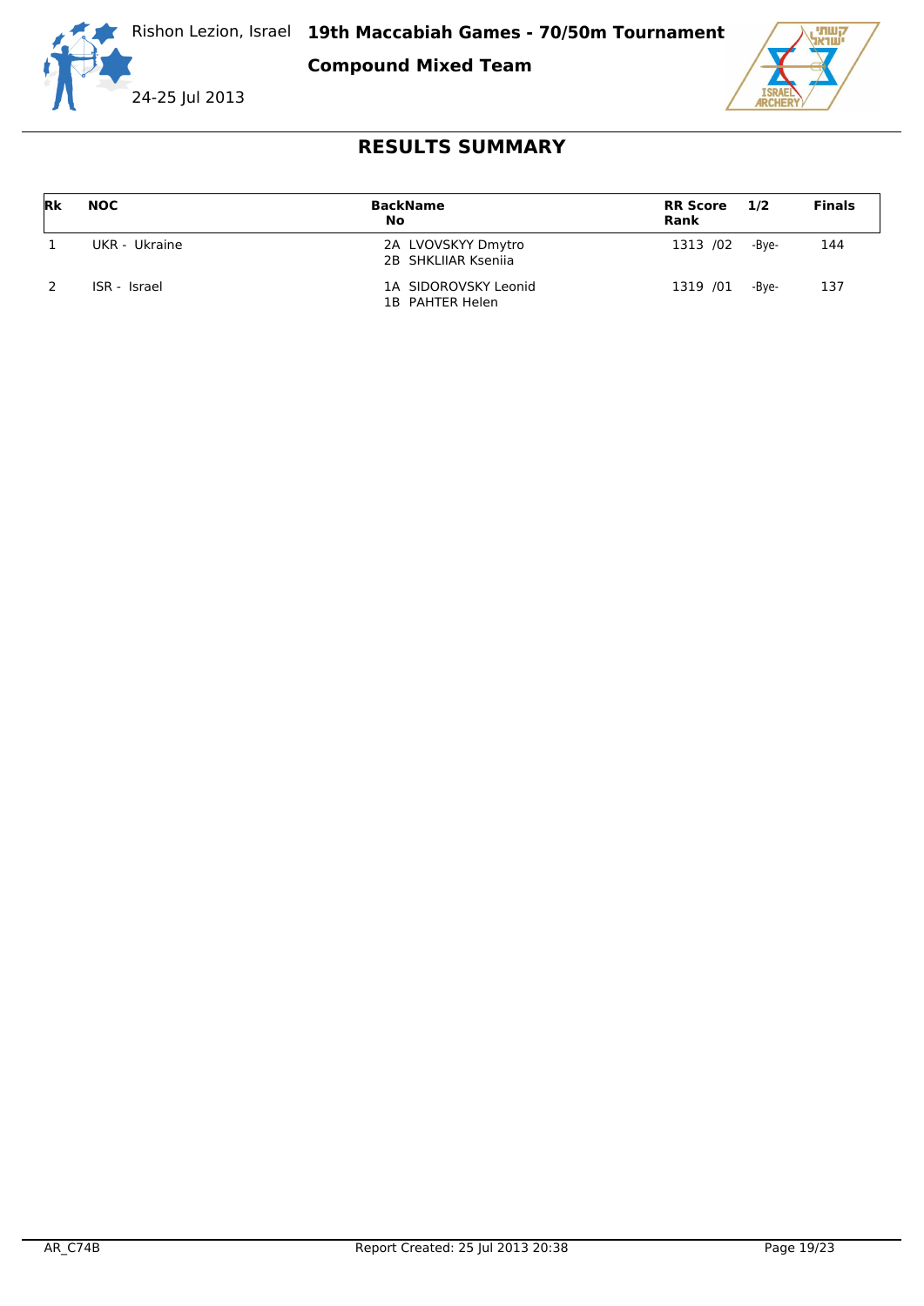

**Compound Mixed Team**



| Rk | <b>NOC</b>    | <b>BackName</b><br>No                     | <b>RR Score</b><br><b>Rank</b> | 1/2   | <b>Finals</b> |
|----|---------------|-------------------------------------------|--------------------------------|-------|---------------|
|    | UKR - Ukraine | 2A LVOVSKYY Dmytro<br>2B SHKLIJAR Ksenija | 1313 /02                       | -Bve- | 144           |
|    | ISR - Israel  | 1A SIDOROVSKY Leonid<br>1B PAHTER Helen   | 1319 /01                       | -Bve- | 137           |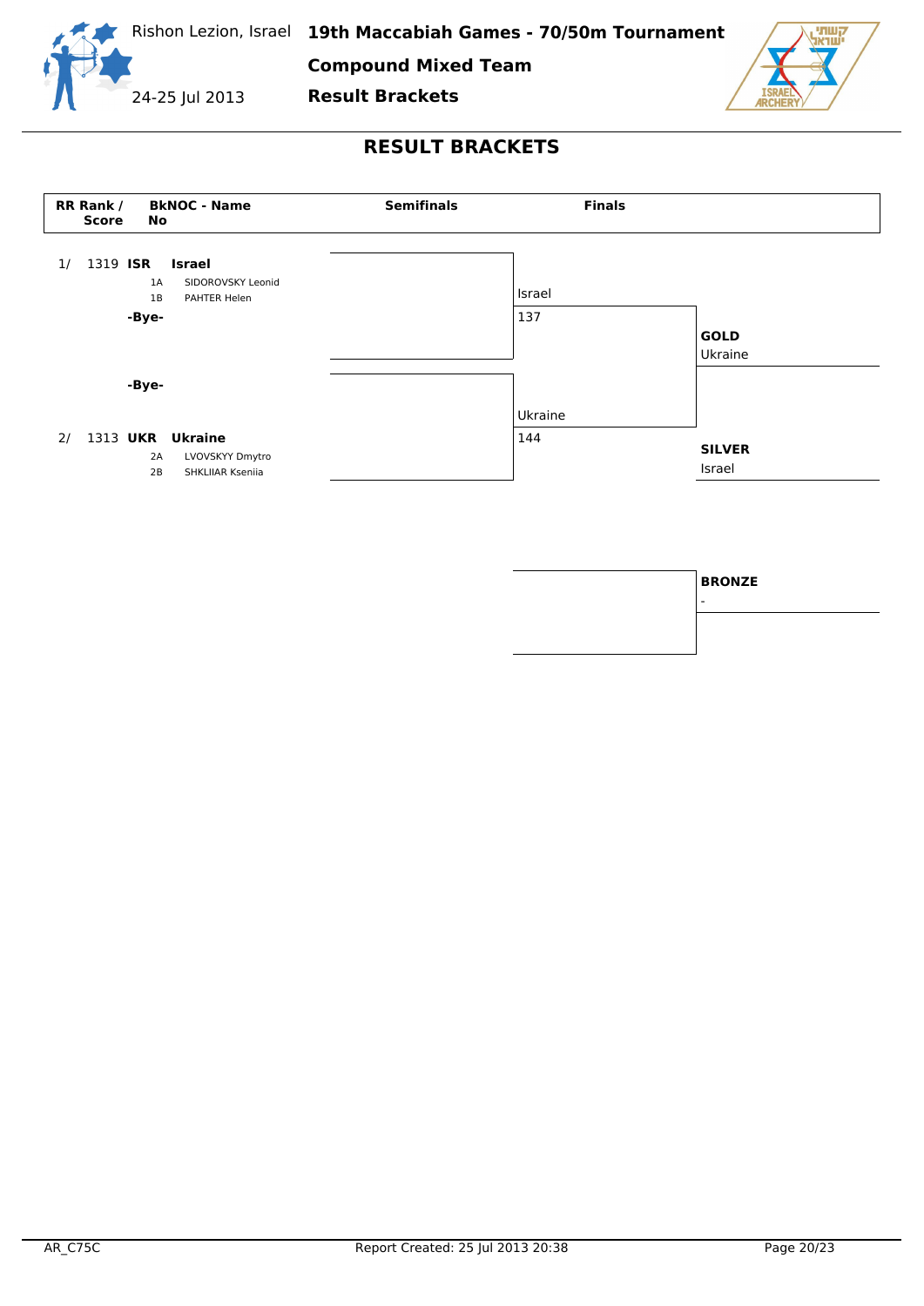

**Compound Mixed Team**

**Result Brackets**





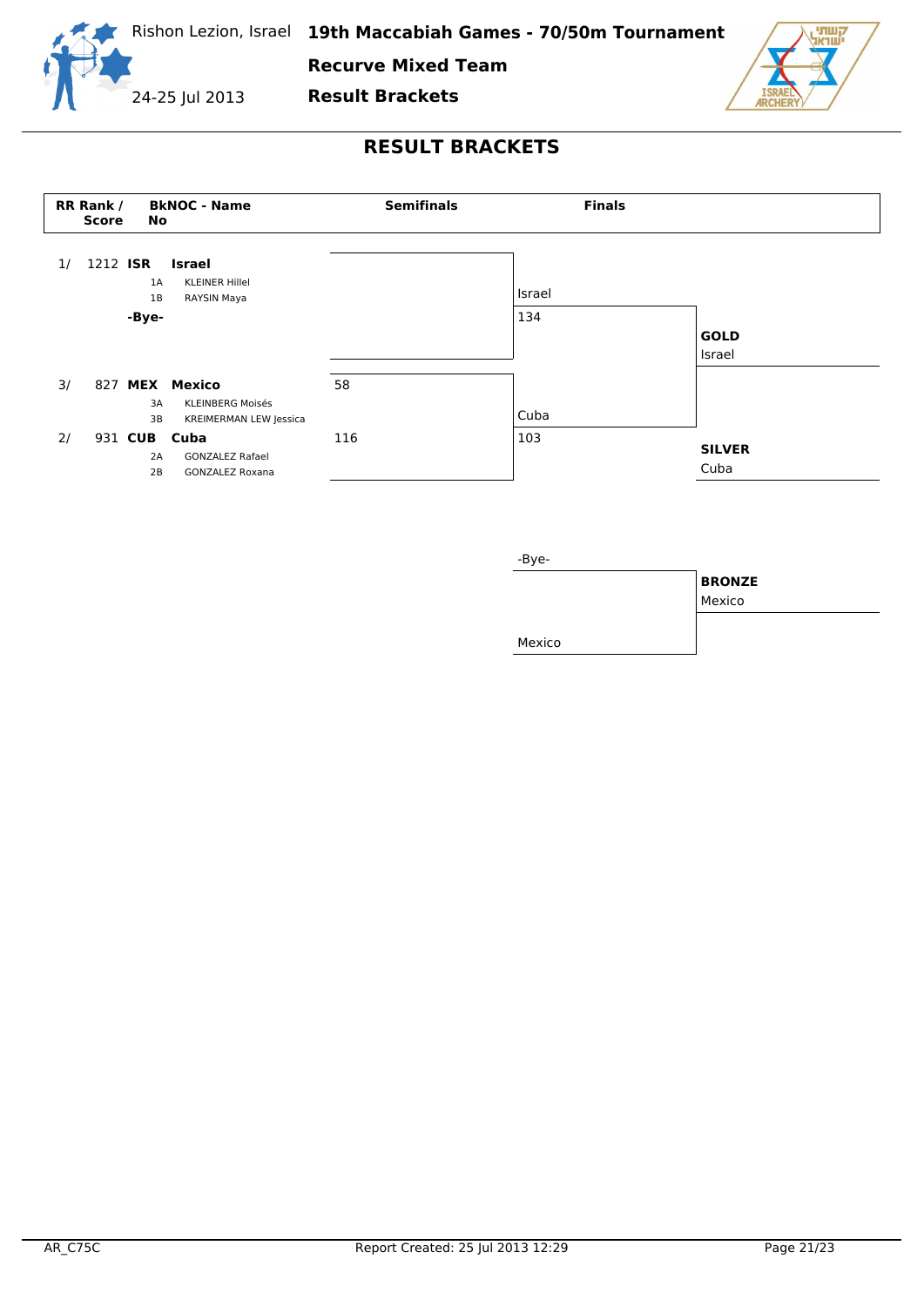

**Recurve Mixed Team**

**Result Brackets**

24-25 Jul 2013

**TTILL** ëтн



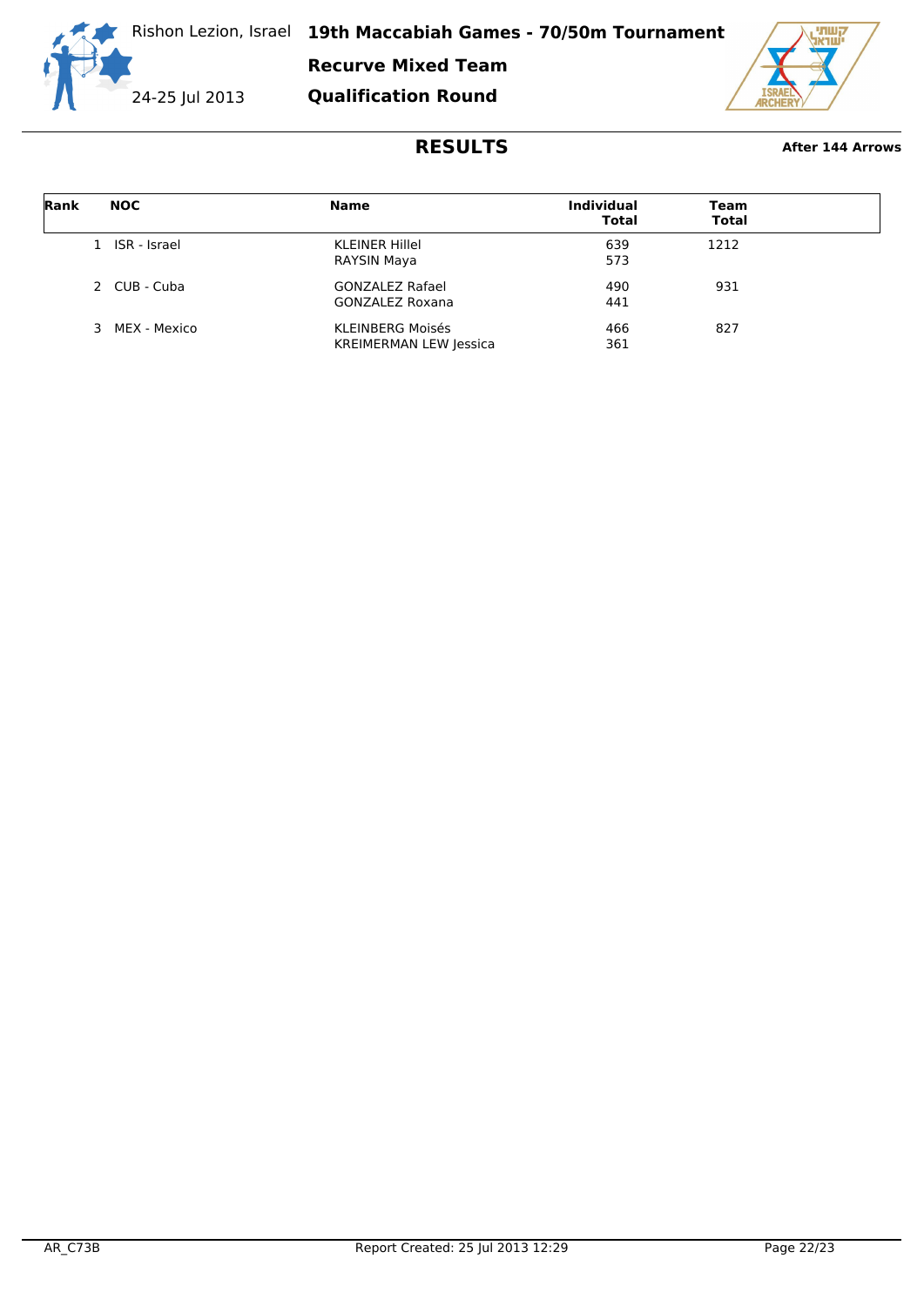

**Recurve Mixed Team**

**Qualification Round**



### **RESULTS After 144 Arrows**

| Rank | <b>NOC</b>     | <b>Name</b>                   | <b>Individual</b><br><b>Total</b> | Team<br><b>Total</b> |  |
|------|----------------|-------------------------------|-----------------------------------|----------------------|--|
|      | 1 ISR - Israel | <b>KLEINER Hillel</b>         | 639                               | 1212                 |  |
|      |                | RAYSIN Maya                   | 573                               |                      |  |
|      | 2 CUB - Cuba   | <b>GONZALEZ Rafael</b>        | 490                               | 931                  |  |
|      |                | GONZALEZ Roxana               | 441                               |                      |  |
|      | 3 MEX - Mexico | <b>KLEINBERG Moisés</b>       | 466                               | 827                  |  |
|      |                | <b>KREIMERMAN LEW Jessica</b> | 361                               |                      |  |